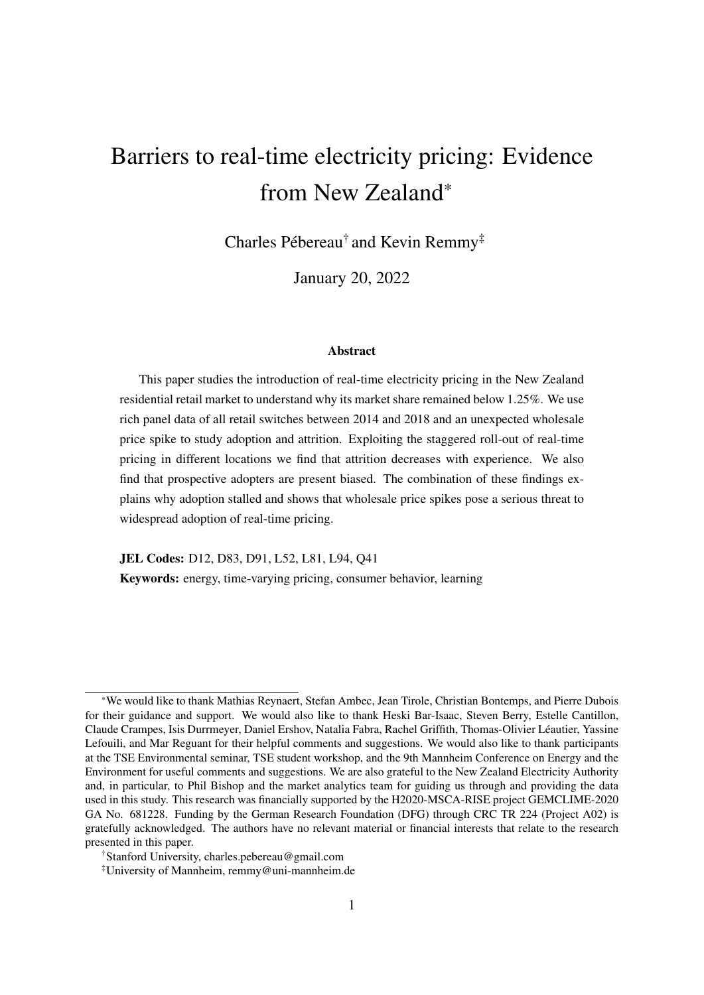# Barriers to real-time electricity pricing: Evidence from New Zealand\*

Charles Pébereau<sup>†</sup> and Kevin Remmy<sup>‡</sup>

January 20, 2022

#### Abstract

This paper studies the introduction of real-time electricity pricing in the New Zealand residential retail market to understand why its market share remained below 1.25%. We use rich panel data of all retail switches between 2014 and 2018 and an unexpected wholesale price spike to study adoption and attrition. Exploiting the staggered roll-out of real-time pricing in different locations we find that attrition decreases with experience. We also find that prospective adopters are present biased. The combination of these findings explains why adoption stalled and shows that wholesale price spikes pose a serious threat to widespread adoption of real-time pricing.

JEL Codes: D12, D83, D91, L52, L81, L94, Q41 Keywords: energy, time-varying pricing, consumer behavior, learning

<sup>\*</sup>We would like to thank Mathias Reynaert, Stefan Ambec, Jean Tirole, Christian Bontemps, and Pierre Dubois for their guidance and support. We would also like to thank Heski Bar-Isaac, Steven Berry, Estelle Cantillon, Claude Crampes, Isis Durrmeyer, Daniel Ershov, Natalia Fabra, Rachel Griffith, Thomas-Olivier Leautier, Yassine ´ Lefouili, and Mar Reguant for their helpful comments and suggestions. We would also like to thank participants at the TSE Environmental seminar, TSE student workshop, and the 9th Mannheim Conference on Energy and the Environment for useful comments and suggestions. We are also grateful to the New Zealand Electricity Authority and, in particular, to Phil Bishop and the market analytics team for guiding us through and providing the data used in this study. This research was financially supported by the H2020-MSCA-RISE project GEMCLIME-2020 GA No. 681228. Funding by the German Research Foundation (DFG) through CRC TR 224 (Project A02) is gratefully acknowledged. The authors have no relevant material or financial interests that relate to the research presented in this paper.

<sup>†</sup>Stanford University, charles.pebereau@gmail.com

<sup>‡</sup>University of Mannheim, remmy@uni-mannheim.de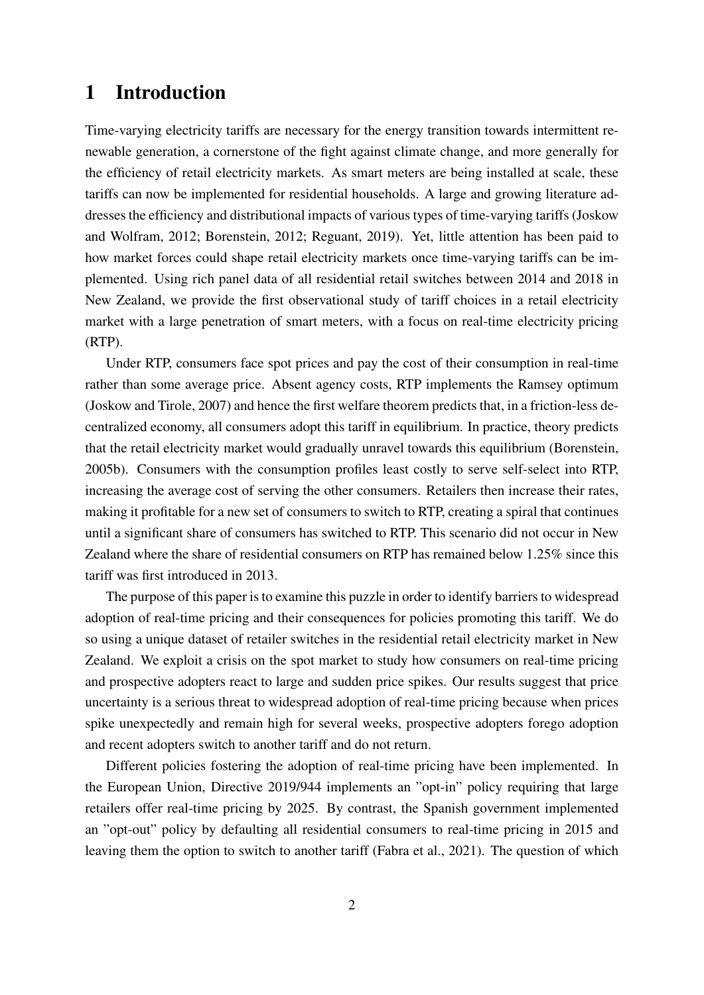## 1 Introduction

Time-varying electricity tariffs are necessary for the energy transition towards intermittent renewable generation, a cornerstone of the fight against climate change, and more generally for the efficiency of retail electricity markets. As smart meters are being installed at scale, these tariffs can now be implemented for residential households. A large and growing literature addresses the efficiency and distributional impacts of various types of time-varying tariffs (Joskow and Wolfram, 2012; Borenstein, 2012; Reguant, 2019). Yet, little attention has been paid to how market forces could shape retail electricity markets once time-varying tariffs can be implemented. Using rich panel data of all residential retail switches between 2014 and 2018 in New Zealand, we provide the first observational study of tariff choices in a retail electricity market with a large penetration of smart meters, with a focus on real-time electricity pricing (RTP).

Under RTP, consumers face spot prices and pay the cost of their consumption in real-time rather than some average price. Absent agency costs, RTP implements the Ramsey optimum (Joskow and Tirole, 2007) and hence the first welfare theorem predicts that, in a friction-less decentralized economy, all consumers adopt this tariff in equilibrium. In practice, theory predicts that the retail electricity market would gradually unravel towards this equilibrium (Borenstein, 2005b). Consumers with the consumption profiles least costly to serve self-select into RTP, increasing the average cost of serving the other consumers. Retailers then increase their rates, making it profitable for a new set of consumers to switch to RTP, creating a spiral that continues until a significant share of consumers has switched to RTP. This scenario did not occur in New Zealand where the share of residential consumers on RTP has remained below 1.25% since this tariff was first introduced in 2013.

The purpose of this paper is to examine this puzzle in order to identify barriers to widespread adoption of real-time pricing and their consequences for policies promoting this tariff. We do so using a unique dataset of retailer switches in the residential retail electricity market in New Zealand. We exploit a crisis on the spot market to study how consumers on real-time pricing and prospective adopters react to large and sudden price spikes. Our results suggest that price uncertainty is a serious threat to widespread adoption of real-time pricing because when prices spike unexpectedly and remain high for several weeks, prospective adopters forego adoption and recent adopters switch to another tariff and do not return.

Different policies fostering the adoption of real-time pricing have been implemented. In the European Union, Directive 2019/944 implements an "opt-in" policy requiring that large retailers offer real-time pricing by 2025. By contrast, the Spanish government implemented an "opt-out" policy by defaulting all residential consumers to real-time pricing in 2015 and leaving them the option to switch to another tariff (Fabra et al., 2021). The question of which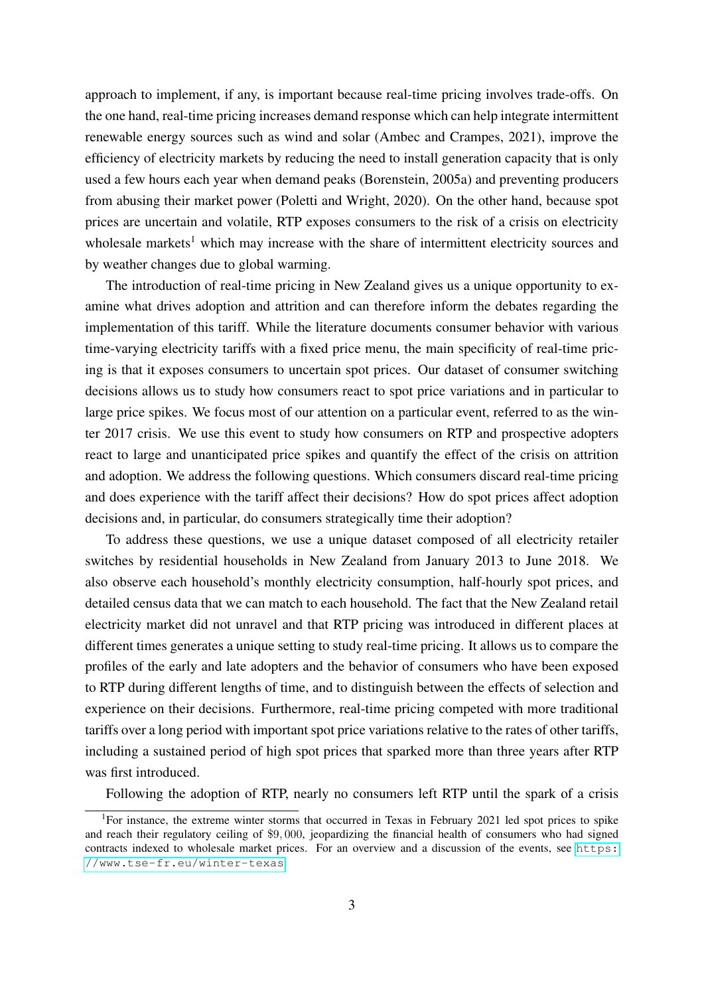approach to implement, if any, is important because real-time pricing involves trade-offs. On the one hand, real-time pricing increases demand response which can help integrate intermittent renewable energy sources such as wind and solar (Ambec and Crampes, 2021), improve the efficiency of electricity markets by reducing the need to install generation capacity that is only used a few hours each year when demand peaks (Borenstein, 2005a) and preventing producers from abusing their market power (Poletti and Wright, 2020). On the other hand, because spot prices are uncertain and volatile, RTP exposes consumers to the risk of a crisis on electricity wholesale markets<sup>1</sup> which may increase with the share of intermittent electricity sources and by weather changes due to global warming.

The introduction of real-time pricing in New Zealand gives us a unique opportunity to examine what drives adoption and attrition and can therefore inform the debates regarding the implementation of this tariff. While the literature documents consumer behavior with various time-varying electricity tariffs with a fixed price menu, the main specificity of real-time pricing is that it exposes consumers to uncertain spot prices. Our dataset of consumer switching decisions allows us to study how consumers react to spot price variations and in particular to large price spikes. We focus most of our attention on a particular event, referred to as the winter 2017 crisis. We use this event to study how consumers on RTP and prospective adopters react to large and unanticipated price spikes and quantify the effect of the crisis on attrition and adoption. We address the following questions. Which consumers discard real-time pricing and does experience with the tariff affect their decisions? How do spot prices affect adoption decisions and, in particular, do consumers strategically time their adoption?

To address these questions, we use a unique dataset composed of all electricity retailer switches by residential households in New Zealand from January 2013 to June 2018. We also observe each household's monthly electricity consumption, half-hourly spot prices, and detailed census data that we can match to each household. The fact that the New Zealand retail electricity market did not unravel and that RTP pricing was introduced in different places at different times generates a unique setting to study real-time pricing. It allows us to compare the profiles of the early and late adopters and the behavior of consumers who have been exposed to RTP during different lengths of time, and to distinguish between the effects of selection and experience on their decisions. Furthermore, real-time pricing competed with more traditional tariffs over a long period with important spot price variations relative to the rates of other tariffs, including a sustained period of high spot prices that sparked more than three years after RTP was first introduced.

Following the adoption of RTP, nearly no consumers left RTP until the spark of a crisis

<sup>&</sup>lt;sup>1</sup>For instance, the extreme winter storms that occurred in Texas in February 2021 led spot prices to spike and reach their regulatory ceiling of \$9, 000, jeopardizing the financial health of consumers who had signed contracts indexed to wholesale market prices. For an overview and a discussion of the events, see [https:](https://www.tse-fr.eu/winter-texas) [//www.tse-fr.eu/winter-texas](https://www.tse-fr.eu/winter-texas)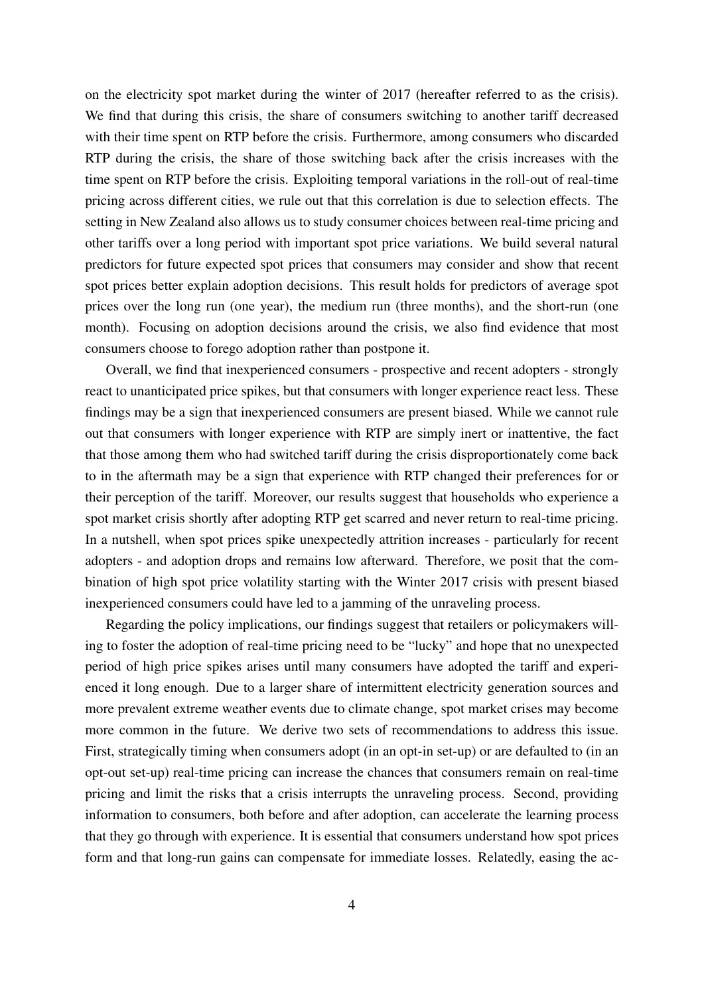on the electricity spot market during the winter of 2017 (hereafter referred to as the crisis). We find that during this crisis, the share of consumers switching to another tariff decreased with their time spent on RTP before the crisis. Furthermore, among consumers who discarded RTP during the crisis, the share of those switching back after the crisis increases with the time spent on RTP before the crisis. Exploiting temporal variations in the roll-out of real-time pricing across different cities, we rule out that this correlation is due to selection effects. The setting in New Zealand also allows us to study consumer choices between real-time pricing and other tariffs over a long period with important spot price variations. We build several natural predictors for future expected spot prices that consumers may consider and show that recent spot prices better explain adoption decisions. This result holds for predictors of average spot prices over the long run (one year), the medium run (three months), and the short-run (one month). Focusing on adoption decisions around the crisis, we also find evidence that most consumers choose to forego adoption rather than postpone it.

Overall, we find that inexperienced consumers - prospective and recent adopters - strongly react to unanticipated price spikes, but that consumers with longer experience react less. These findings may be a sign that inexperienced consumers are present biased. While we cannot rule out that consumers with longer experience with RTP are simply inert or inattentive, the fact that those among them who had switched tariff during the crisis disproportionately come back to in the aftermath may be a sign that experience with RTP changed their preferences for or their perception of the tariff. Moreover, our results suggest that households who experience a spot market crisis shortly after adopting RTP get scarred and never return to real-time pricing. In a nutshell, when spot prices spike unexpectedly attrition increases - particularly for recent adopters - and adoption drops and remains low afterward. Therefore, we posit that the combination of high spot price volatility starting with the Winter 2017 crisis with present biased inexperienced consumers could have led to a jamming of the unraveling process.

Regarding the policy implications, our findings suggest that retailers or policymakers willing to foster the adoption of real-time pricing need to be "lucky" and hope that no unexpected period of high price spikes arises until many consumers have adopted the tariff and experienced it long enough. Due to a larger share of intermittent electricity generation sources and more prevalent extreme weather events due to climate change, spot market crises may become more common in the future. We derive two sets of recommendations to address this issue. First, strategically timing when consumers adopt (in an opt-in set-up) or are defaulted to (in an opt-out set-up) real-time pricing can increase the chances that consumers remain on real-time pricing and limit the risks that a crisis interrupts the unraveling process. Second, providing information to consumers, both before and after adoption, can accelerate the learning process that they go through with experience. It is essential that consumers understand how spot prices form and that long-run gains can compensate for immediate losses. Relatedly, easing the ac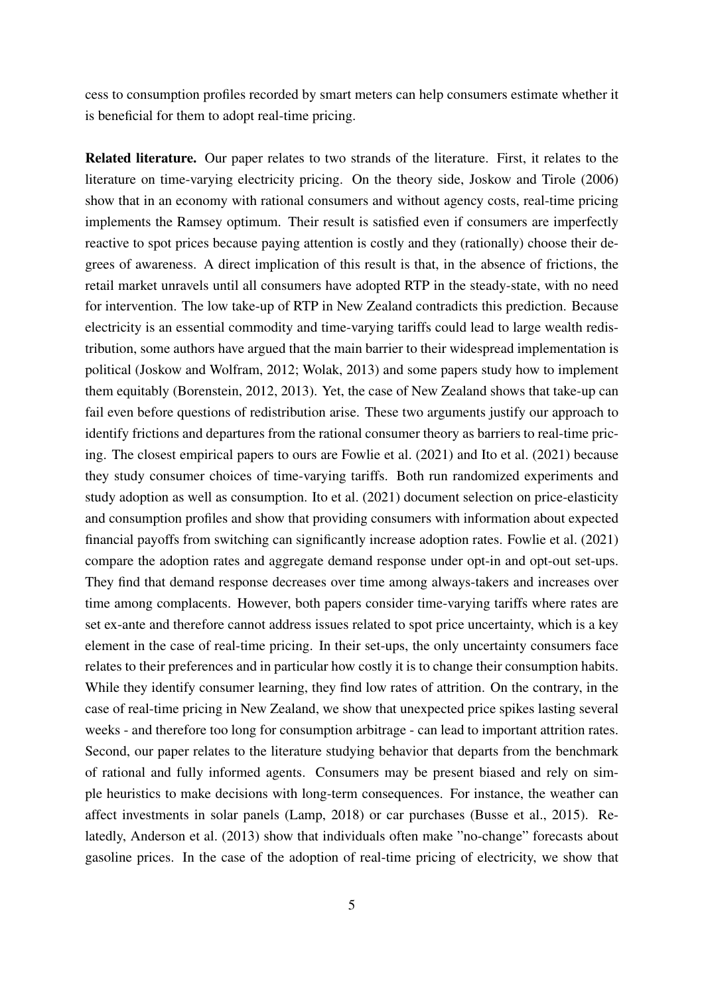cess to consumption profiles recorded by smart meters can help consumers estimate whether it is beneficial for them to adopt real-time pricing.

Related literature. Our paper relates to two strands of the literature. First, it relates to the literature on time-varying electricity pricing. On the theory side, Joskow and Tirole (2006) show that in an economy with rational consumers and without agency costs, real-time pricing implements the Ramsey optimum. Their result is satisfied even if consumers are imperfectly reactive to spot prices because paying attention is costly and they (rationally) choose their degrees of awareness. A direct implication of this result is that, in the absence of frictions, the retail market unravels until all consumers have adopted RTP in the steady-state, with no need for intervention. The low take-up of RTP in New Zealand contradicts this prediction. Because electricity is an essential commodity and time-varying tariffs could lead to large wealth redistribution, some authors have argued that the main barrier to their widespread implementation is political (Joskow and Wolfram, 2012; Wolak, 2013) and some papers study how to implement them equitably (Borenstein, 2012, 2013). Yet, the case of New Zealand shows that take-up can fail even before questions of redistribution arise. These two arguments justify our approach to identify frictions and departures from the rational consumer theory as barriers to real-time pricing. The closest empirical papers to ours are Fowlie et al. (2021) and Ito et al. (2021) because they study consumer choices of time-varying tariffs. Both run randomized experiments and study adoption as well as consumption. Ito et al. (2021) document selection on price-elasticity and consumption profiles and show that providing consumers with information about expected financial payoffs from switching can significantly increase adoption rates. Fowlie et al. (2021) compare the adoption rates and aggregate demand response under opt-in and opt-out set-ups. They find that demand response decreases over time among always-takers and increases over time among complacents. However, both papers consider time-varying tariffs where rates are set ex-ante and therefore cannot address issues related to spot price uncertainty, which is a key element in the case of real-time pricing. In their set-ups, the only uncertainty consumers face relates to their preferences and in particular how costly it is to change their consumption habits. While they identify consumer learning, they find low rates of attrition. On the contrary, in the case of real-time pricing in New Zealand, we show that unexpected price spikes lasting several weeks - and therefore too long for consumption arbitrage - can lead to important attrition rates. Second, our paper relates to the literature studying behavior that departs from the benchmark of rational and fully informed agents. Consumers may be present biased and rely on simple heuristics to make decisions with long-term consequences. For instance, the weather can affect investments in solar panels (Lamp, 2018) or car purchases (Busse et al., 2015). Relatedly, Anderson et al. (2013) show that individuals often make "no-change" forecasts about gasoline prices. In the case of the adoption of real-time pricing of electricity, we show that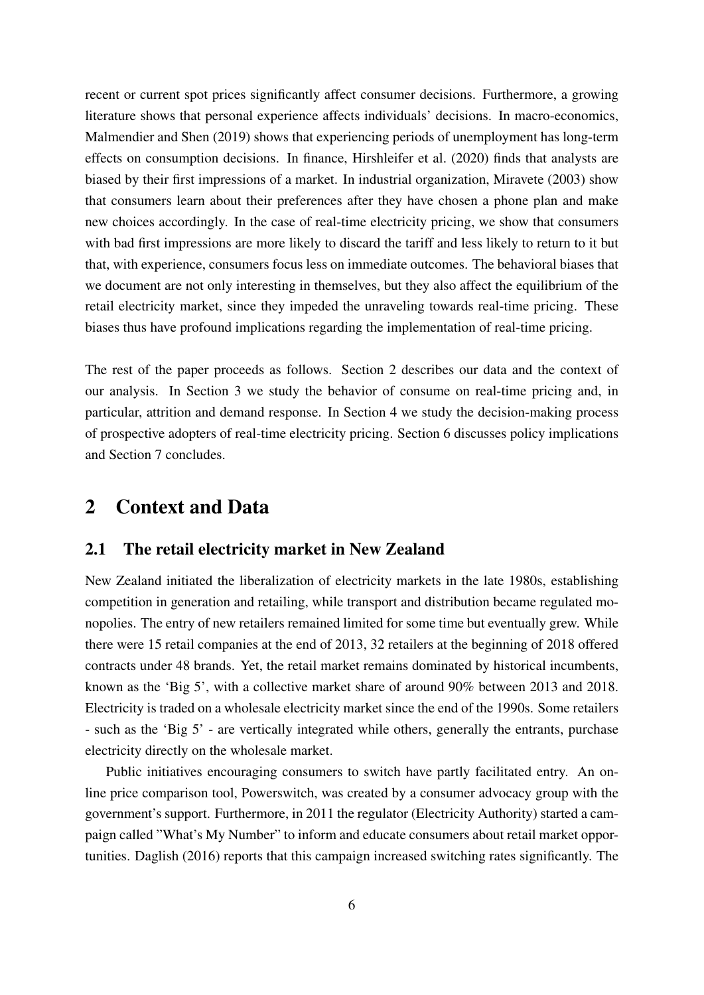recent or current spot prices significantly affect consumer decisions. Furthermore, a growing literature shows that personal experience affects individuals' decisions. In macro-economics, Malmendier and Shen (2019) shows that experiencing periods of unemployment has long-term effects on consumption decisions. In finance, Hirshleifer et al. (2020) finds that analysts are biased by their first impressions of a market. In industrial organization, Miravete (2003) show that consumers learn about their preferences after they have chosen a phone plan and make new choices accordingly. In the case of real-time electricity pricing, we show that consumers with bad first impressions are more likely to discard the tariff and less likely to return to it but that, with experience, consumers focus less on immediate outcomes. The behavioral biases that we document are not only interesting in themselves, but they also affect the equilibrium of the retail electricity market, since they impeded the unraveling towards real-time pricing. These biases thus have profound implications regarding the implementation of real-time pricing.

The rest of the paper proceeds as follows. Section 2 describes our data and the context of our analysis. In Section 3 we study the behavior of consume on real-time pricing and, in particular, attrition and demand response. In Section 4 we study the decision-making process of prospective adopters of real-time electricity pricing. Section 6 discusses policy implications and Section 7 concludes.

### 2 Context and Data

#### 2.1 The retail electricity market in New Zealand

New Zealand initiated the liberalization of electricity markets in the late 1980s, establishing competition in generation and retailing, while transport and distribution became regulated monopolies. The entry of new retailers remained limited for some time but eventually grew. While there were 15 retail companies at the end of 2013, 32 retailers at the beginning of 2018 offered contracts under 48 brands. Yet, the retail market remains dominated by historical incumbents, known as the 'Big 5', with a collective market share of around 90% between 2013 and 2018. Electricity is traded on a wholesale electricity market since the end of the 1990s. Some retailers - such as the 'Big 5' - are vertically integrated while others, generally the entrants, purchase electricity directly on the wholesale market.

Public initiatives encouraging consumers to switch have partly facilitated entry. An online price comparison tool, Powerswitch, was created by a consumer advocacy group with the government's support. Furthermore, in 2011 the regulator (Electricity Authority) started a campaign called "What's My Number" to inform and educate consumers about retail market opportunities. Daglish (2016) reports that this campaign increased switching rates significantly. The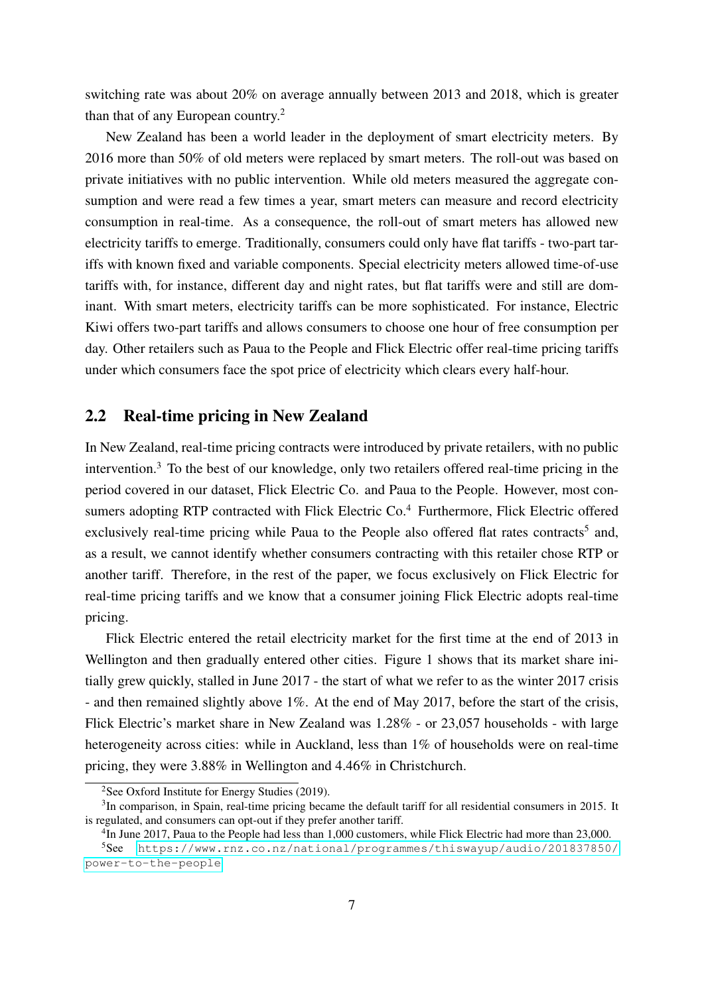switching rate was about 20% on average annually between 2013 and 2018, which is greater than that of any European country.<sup>2</sup>

New Zealand has been a world leader in the deployment of smart electricity meters. By 2016 more than 50% of old meters were replaced by smart meters. The roll-out was based on private initiatives with no public intervention. While old meters measured the aggregate consumption and were read a few times a year, smart meters can measure and record electricity consumption in real-time. As a consequence, the roll-out of smart meters has allowed new electricity tariffs to emerge. Traditionally, consumers could only have flat tariffs - two-part tariffs with known fixed and variable components. Special electricity meters allowed time-of-use tariffs with, for instance, different day and night rates, but flat tariffs were and still are dominant. With smart meters, electricity tariffs can be more sophisticated. For instance, Electric Kiwi offers two-part tariffs and allows consumers to choose one hour of free consumption per day. Other retailers such as Paua to the People and Flick Electric offer real-time pricing tariffs under which consumers face the spot price of electricity which clears every half-hour.

#### 2.2 Real-time pricing in New Zealand

In New Zealand, real-time pricing contracts were introduced by private retailers, with no public intervention.<sup>3</sup> To the best of our knowledge, only two retailers offered real-time pricing in the period covered in our dataset, Flick Electric Co. and Paua to the People. However, most consumers adopting RTP contracted with Flick Electric  $Co<sup>4</sup>$  Furthermore, Flick Electric offered exclusively real-time pricing while Paua to the People also offered flat rates contracts<sup>5</sup> and, as a result, we cannot identify whether consumers contracting with this retailer chose RTP or another tariff. Therefore, in the rest of the paper, we focus exclusively on Flick Electric for real-time pricing tariffs and we know that a consumer joining Flick Electric adopts real-time pricing.

Flick Electric entered the retail electricity market for the first time at the end of 2013 in Wellington and then gradually entered other cities. Figure 1 shows that its market share initially grew quickly, stalled in June 2017 - the start of what we refer to as the winter 2017 crisis - and then remained slightly above 1%. At the end of May 2017, before the start of the crisis, Flick Electric's market share in New Zealand was 1.28% - or 23,057 households - with large heterogeneity across cities: while in Auckland, less than 1% of households were on real-time pricing, they were 3.88% in Wellington and 4.46% in Christchurch.

<sup>2</sup>See Oxford Institute for Energy Studies (2019).

 $3$ In comparison, in Spain, real-time pricing became the default tariff for all residential consumers in 2015. It is regulated, and consumers can opt-out if they prefer another tariff.

<sup>&</sup>lt;sup>4</sup>In June 2017, Paua to the People had less than 1,000 customers, while Flick Electric had more than 23,000.

<sup>5</sup>See [https://www.rnz.co.nz/national/programmes/thiswayup/audio/201837850/](https://www.rnz.co.nz/national/programmes/thiswayup/audio/201837850/power-to-the-people) [power-to-the-people](https://www.rnz.co.nz/national/programmes/thiswayup/audio/201837850/power-to-the-people)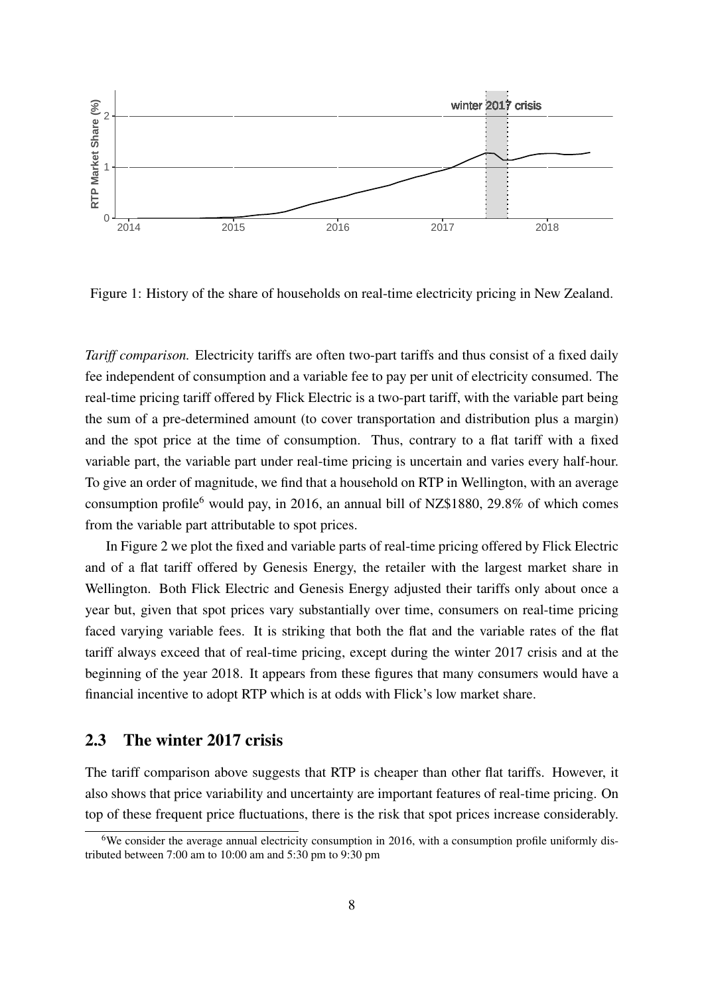

Figure 1: History of the share of households on real-time electricity pricing in New Zealand.

*Tariff comparison.* Electricity tariffs are often two-part tariffs and thus consist of a fixed daily fee independent of consumption and a variable fee to pay per unit of electricity consumed. The real-time pricing tariff offered by Flick Electric is a two-part tariff, with the variable part being the sum of a pre-determined amount (to cover transportation and distribution plus a margin) and the spot price at the time of consumption. Thus, contrary to a flat tariff with a fixed variable part, the variable part under real-time pricing is uncertain and varies every half-hour. To give an order of magnitude, we find that a household on RTP in Wellington, with an average consumption profile<sup>6</sup> would pay, in 2016, an annual bill of NZ\$1880, 29.8% of which comes from the variable part attributable to spot prices.

In Figure 2 we plot the fixed and variable parts of real-time pricing offered by Flick Electric and of a flat tariff offered by Genesis Energy, the retailer with the largest market share in Wellington. Both Flick Electric and Genesis Energy adjusted their tariffs only about once a year but, given that spot prices vary substantially over time, consumers on real-time pricing faced varying variable fees. It is striking that both the flat and the variable rates of the flat tariff always exceed that of real-time pricing, except during the winter 2017 crisis and at the beginning of the year 2018. It appears from these figures that many consumers would have a financial incentive to adopt RTP which is at odds with Flick's low market share.

#### 2.3 The winter 2017 crisis

The tariff comparison above suggests that RTP is cheaper than other flat tariffs. However, it also shows that price variability and uncertainty are important features of real-time pricing. On top of these frequent price fluctuations, there is the risk that spot prices increase considerably.

<sup>&</sup>lt;sup>6</sup>We consider the average annual electricity consumption in 2016, with a consumption profile uniformly distributed between 7:00 am to 10:00 am and 5:30 pm to 9:30 pm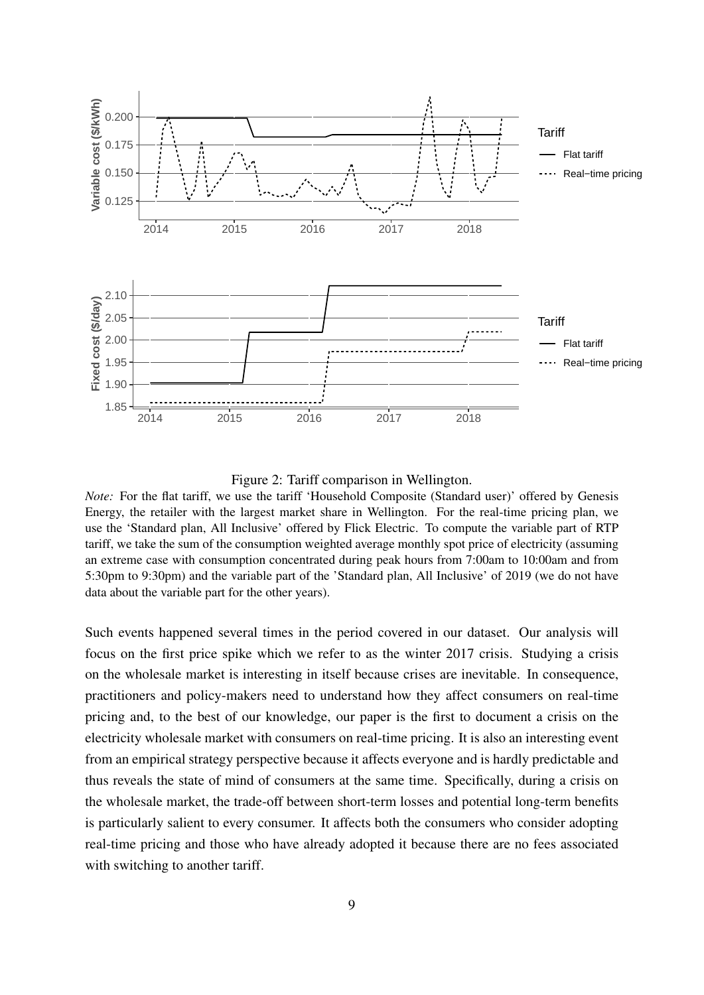

Figure 2: Tariff comparison in Wellington.

Such events happened several times in the period covered in our dataset. Our analysis will focus on the first price spike which we refer to as the winter 2017 crisis. Studying a crisis on the wholesale market is interesting in itself because crises are inevitable. In consequence, practitioners and policy-makers need to understand how they affect consumers on real-time pricing and, to the best of our knowledge, our paper is the first to document a crisis on the electricity wholesale market with consumers on real-time pricing. It is also an interesting event from an empirical strategy perspective because it affects everyone and is hardly predictable and thus reveals the state of mind of consumers at the same time. Specifically, during a crisis on the wholesale market, the trade-off between short-term losses and potential long-term benefits is particularly salient to every consumer. It affects both the consumers who consider adopting real-time pricing and those who have already adopted it because there are no fees associated with switching to another tariff.

*Note:* For the flat tariff, we use the tariff 'Household Composite (Standard user)' offered by Genesis Energy, the retailer with the largest market share in Wellington. For the real-time pricing plan, we use the 'Standard plan, All Inclusive' offered by Flick Electric. To compute the variable part of RTP tariff, we take the sum of the consumption weighted average monthly spot price of electricity (assuming an extreme case with consumption concentrated during peak hours from 7:00am to 10:00am and from 5:30pm to 9:30pm) and the variable part of the 'Standard plan, All Inclusive' of 2019 (we do not have data about the variable part for the other years).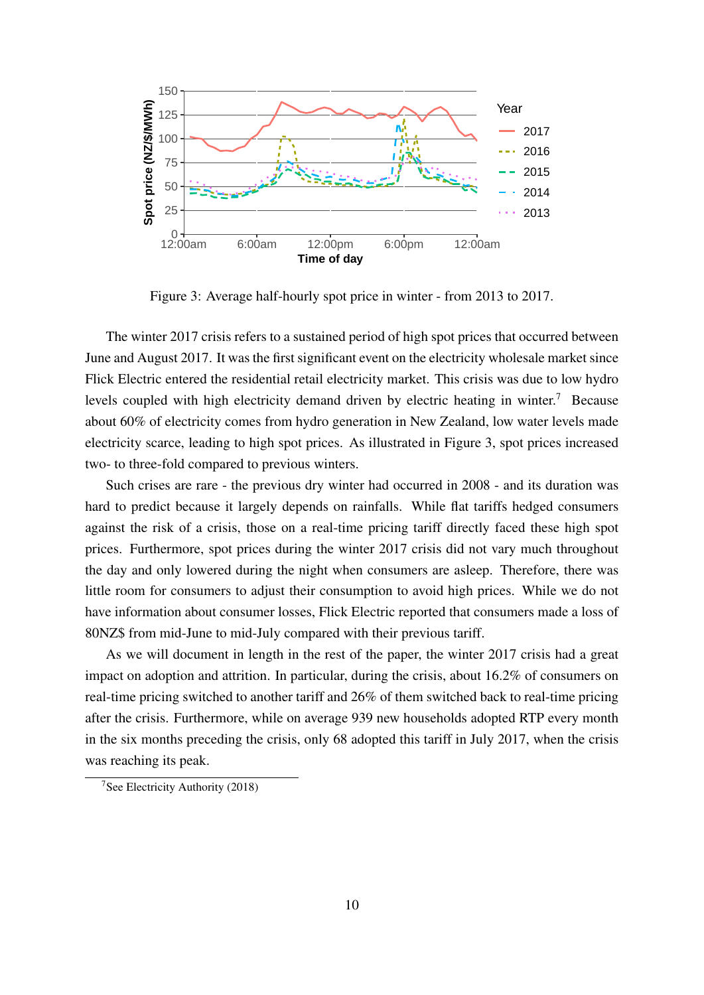

Figure 3: Average half-hourly spot price in winter - from 2013 to 2017.

The winter 2017 crisis refers to a sustained period of high spot prices that occurred between June and August 2017. It was the first significant event on the electricity wholesale market since Flick Electric entered the residential retail electricity market. This crisis was due to low hydro levels coupled with high electricity demand driven by electric heating in winter.<sup>7</sup> Because about 60% of electricity comes from hydro generation in New Zealand, low water levels made electricity scarce, leading to high spot prices. As illustrated in Figure 3, spot prices increased two- to three-fold compared to previous winters.

Such crises are rare - the previous dry winter had occurred in 2008 - and its duration was hard to predict because it largely depends on rainfalls. While flat tariffs hedged consumers against the risk of a crisis, those on a real-time pricing tariff directly faced these high spot prices. Furthermore, spot prices during the winter 2017 crisis did not vary much throughout the day and only lowered during the night when consumers are asleep. Therefore, there was little room for consumers to adjust their consumption to avoid high prices. While we do not have information about consumer losses, Flick Electric reported that consumers made a loss of 80NZ\$ from mid-June to mid-July compared with their previous tariff.

As we will document in length in the rest of the paper, the winter 2017 crisis had a great impact on adoption and attrition. In particular, during the crisis, about 16.2% of consumers on real-time pricing switched to another tariff and 26% of them switched back to real-time pricing after the crisis. Furthermore, while on average 939 new households adopted RTP every month in the six months preceding the crisis, only 68 adopted this tariff in July 2017, when the crisis was reaching its peak.

<sup>7</sup>See Electricity Authority (2018)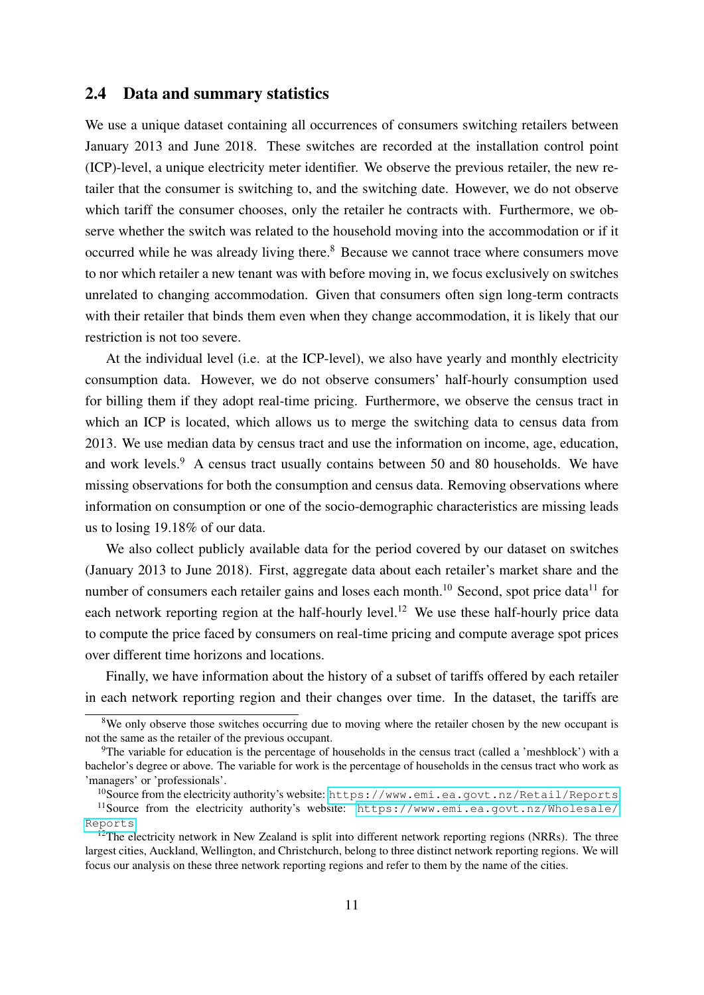#### 2.4 Data and summary statistics

We use a unique dataset containing all occurrences of consumers switching retailers between January 2013 and June 2018. These switches are recorded at the installation control point (ICP)-level, a unique electricity meter identifier. We observe the previous retailer, the new retailer that the consumer is switching to, and the switching date. However, we do not observe which tariff the consumer chooses, only the retailer he contracts with. Furthermore, we observe whether the switch was related to the household moving into the accommodation or if it occurred while he was already living there.<sup>8</sup> Because we cannot trace where consumers move to nor which retailer a new tenant was with before moving in, we focus exclusively on switches unrelated to changing accommodation. Given that consumers often sign long-term contracts with their retailer that binds them even when they change accommodation, it is likely that our restriction is not too severe.

At the individual level (i.e. at the ICP-level), we also have yearly and monthly electricity consumption data. However, we do not observe consumers' half-hourly consumption used for billing them if they adopt real-time pricing. Furthermore, we observe the census tract in which an ICP is located, which allows us to merge the switching data to census data from 2013. We use median data by census tract and use the information on income, age, education, and work levels.<sup>9</sup> A census tract usually contains between 50 and 80 households. We have missing observations for both the consumption and census data. Removing observations where information on consumption or one of the socio-demographic characteristics are missing leads us to losing 19.18% of our data.

We also collect publicly available data for the period covered by our dataset on switches (January 2013 to June 2018). First, aggregate data about each retailer's market share and the number of consumers each retailer gains and loses each month.<sup>10</sup> Second, spot price data<sup>11</sup> for each network reporting region at the half-hourly level.<sup>12</sup> We use these half-hourly price data to compute the price faced by consumers on real-time pricing and compute average spot prices over different time horizons and locations.

Finally, we have information about the history of a subset of tariffs offered by each retailer in each network reporting region and their changes over time. In the dataset, the tariffs are

 $8$ We only observe those switches occurring due to moving where the retailer chosen by the new occupant is not the same as the retailer of the previous occupant.

<sup>&</sup>lt;sup>9</sup>The variable for education is the percentage of households in the census tract (called a 'meshblock') with a bachelor's degree or above. The variable for work is the percentage of households in the census tract who work as 'managers' or 'professionals'.

<sup>10</sup>Source from the electricity authority's website: <https://www.emi.ea.govt.nz/Retail/Reports> <sup>11</sup>Source from the electricity authority's website: [https://www.emi.ea.govt.nz/Wholesale/](https://www.emi.ea.govt.nz/Wholesale/Reports)

[Reports](https://www.emi.ea.govt.nz/Wholesale/Reports)  $12$ The electricity network in New Zealand is split into different network reporting regions (NRRs). The three

largest cities, Auckland, Wellington, and Christchurch, belong to three distinct network reporting regions. We will focus our analysis on these three network reporting regions and refer to them by the name of the cities.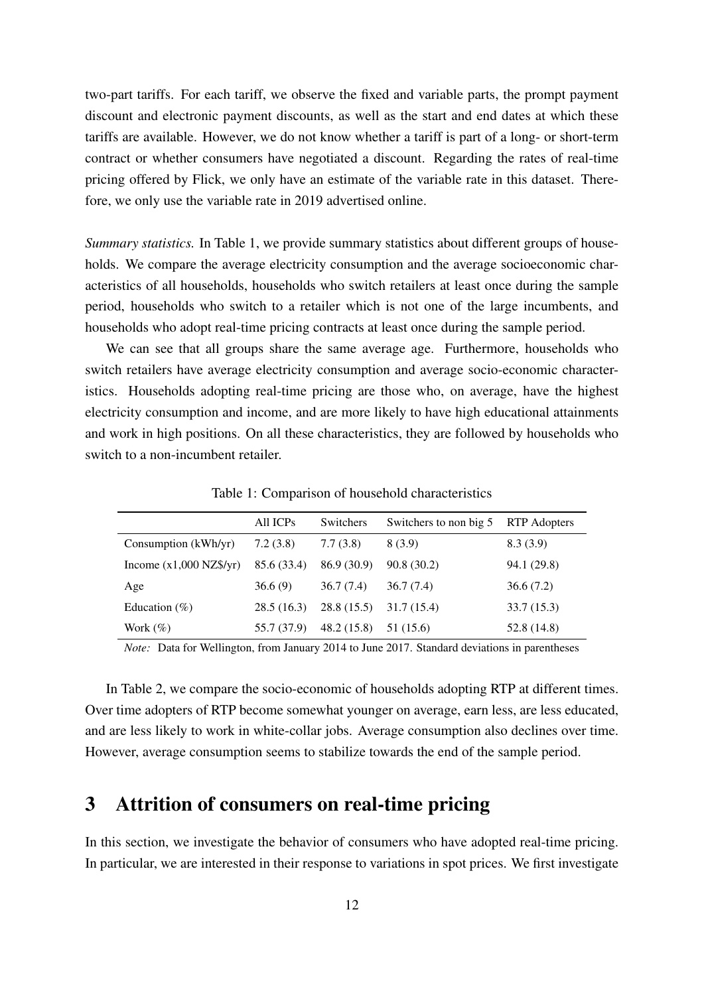two-part tariffs. For each tariff, we observe the fixed and variable parts, the prompt payment discount and electronic payment discounts, as well as the start and end dates at which these tariffs are available. However, we do not know whether a tariff is part of a long- or short-term contract or whether consumers have negotiated a discount. Regarding the rates of real-time pricing offered by Flick, we only have an estimate of the variable rate in this dataset. Therefore, we only use the variable rate in 2019 advertised online.

*Summary statistics.* In Table 1, we provide summary statistics about different groups of households. We compare the average electricity consumption and the average socioeconomic characteristics of all households, households who switch retailers at least once during the sample period, households who switch to a retailer which is not one of the large incumbents, and households who adopt real-time pricing contracts at least once during the sample period.

We can see that all groups share the same average age. Furthermore, households who switch retailers have average electricity consumption and average socio-economic characteristics. Households adopting real-time pricing are those who, on average, have the highest electricity consumption and income, and are more likely to have high educational attainments and work in high positions. On all these characteristics, they are followed by households who switch to a non-incumbent retailer.

|                           | All ICPs    | Switchers   | Switchers to non big 5 | RTP Adopters |
|---------------------------|-------------|-------------|------------------------|--------------|
| Consumption (kWh/yr)      | 7.2(3.8)    | 7.7(3.8)    | 8 (3.9)                | 8.3(3.9)     |
| Income $(x1,000$ NZ\$/yr) | 85.6 (33.4) | 86.9 (30.9) | 90.8(30.2)             | 94.1 (29.8)  |
| Age                       | 36.6(9)     | 36.7(7.4)   | 36.7(7.4)              | 36.6(7.2)    |
| Education $(\% )$         | 28.5(16.3)  | 28.8(15.5)  | 31.7 (15.4)            | 33.7(15.3)   |
| Work $(\%)$               | 55.7 (37.9) | 48.2 (15.8) | 51 (15.6)              | 52.8 (14.8)  |

Table 1: Comparison of household characteristics

*Note:* Data for Wellington, from January 2014 to June 2017. Standard deviations in parentheses

In Table 2, we compare the socio-economic of households adopting RTP at different times. Over time adopters of RTP become somewhat younger on average, earn less, are less educated, and are less likely to work in white-collar jobs. Average consumption also declines over time. However, average consumption seems to stabilize towards the end of the sample period.

# 3 Attrition of consumers on real-time pricing

In this section, we investigate the behavior of consumers who have adopted real-time pricing. In particular, we are interested in their response to variations in spot prices. We first investigate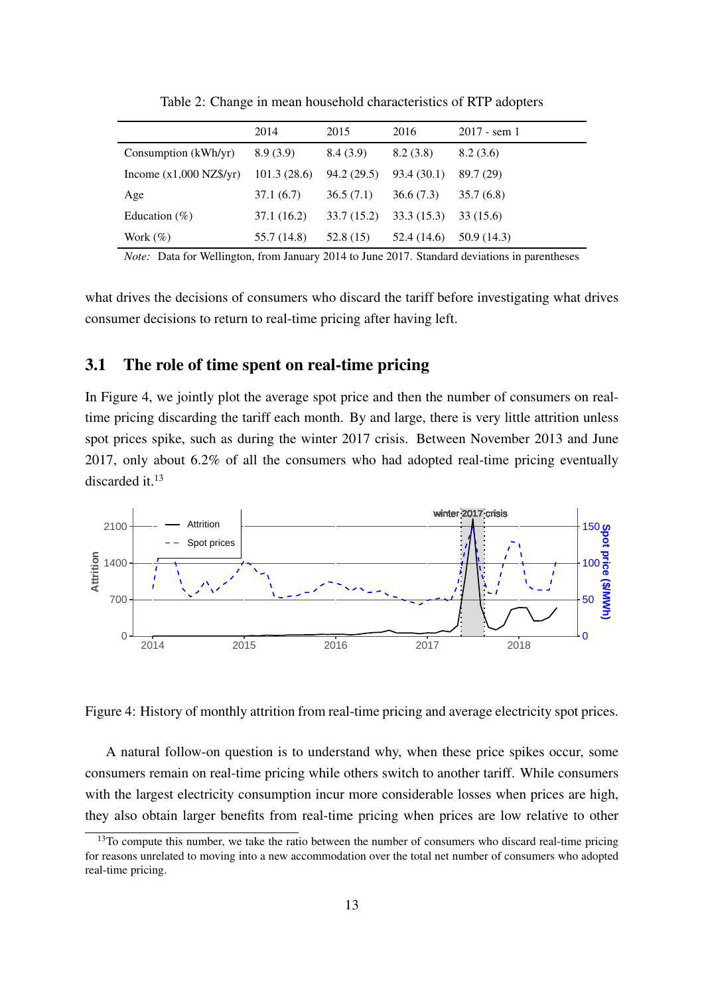|                           | 2014        | 2015       | 2016        | $2017 -$ sem 1 |
|---------------------------|-------------|------------|-------------|----------------|
| Consumption (kWh/yr)      | 8.9(3.9)    | 8.4(3.9)   | 8.2(3.8)    | 8.2(3.6)       |
| Income $(x1,000$ NZ\$/yr) | 101.3(28.6) | 94.2(29.5) | 93.4 (30.1) | 89.7 (29)      |
| Age                       | 37.1(6.7)   | 36.5(7.1)  | 36.6(7.3)   | 35.7(6.8)      |
| Education $(\% )$         | 37.1 (16.2) | 33.7(15.2) | 33.3(15.3)  | 33 (15.6)      |
| Work $(\%)$               | 55.7 (14.8) | 52.8 (15)  | 52.4 (14.6) | 50.9 (14.3)    |

Table 2: Change in mean household characteristics of RTP adopters

*Note:* Data for Wellington, from January 2014 to June 2017. Standard deviations in parentheses

what drives the decisions of consumers who discard the tariff before investigating what drives consumer decisions to return to real-time pricing after having left.

#### 3.1 The role of time spent on real-time pricing

In Figure 4, we jointly plot the average spot price and then the number of consumers on realtime pricing discarding the tariff each month. By and large, there is very little attrition unless spot prices spike, such as during the winter 2017 crisis. Between November 2013 and June 2017, only about 6.2% of all the consumers who had adopted real-time pricing eventually discarded it.<sup>13</sup>



Figure 4: History of monthly attrition from real-time pricing and average electricity spot prices.

A natural follow-on question is to understand why, when these price spikes occur, some consumers remain on real-time pricing while others switch to another tariff. While consumers with the largest electricity consumption incur more considerable losses when prices are high, they also obtain larger benefits from real-time pricing when prices are low relative to other

<sup>&</sup>lt;sup>13</sup>To compute this number, we take the ratio between the number of consumers who discard real-time pricing for reasons unrelated to moving into a new accommodation over the total net number of consumers who adopted real-time pricing.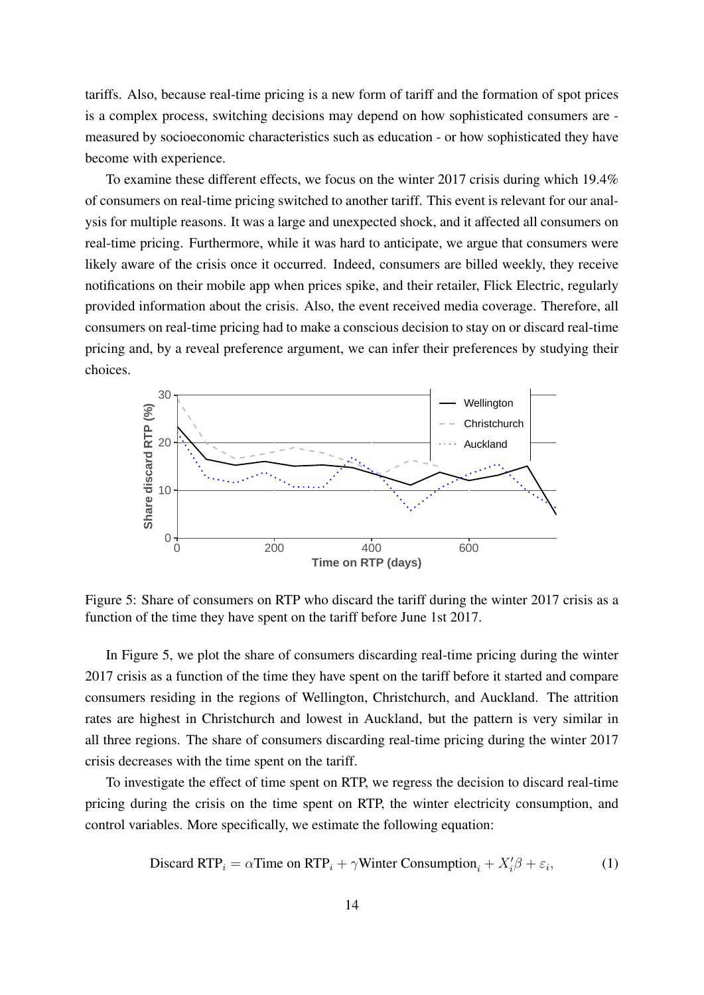tariffs. Also, because real-time pricing is a new form of tariff and the formation of spot prices is a complex process, switching decisions may depend on how sophisticated consumers are measured by socioeconomic characteristics such as education - or how sophisticated they have become with experience.

To examine these different effects, we focus on the winter 2017 crisis during which 19.4% of consumers on real-time pricing switched to another tariff. This event is relevant for our analysis for multiple reasons. It was a large and unexpected shock, and it affected all consumers on real-time pricing. Furthermore, while it was hard to anticipate, we argue that consumers were likely aware of the crisis once it occurred. Indeed, consumers are billed weekly, they receive notifications on their mobile app when prices spike, and their retailer, Flick Electric, regularly provided information about the crisis. Also, the event received media coverage. Therefore, all consumers on real-time pricing had to make a conscious decision to stay on or discard real-time pricing and, by a reveal preference argument, we can infer their preferences by studying their choices.



Figure 5: Share of consumers on RTP who discard the tariff during the winter 2017 crisis as a function of the time they have spent on the tariff before June 1st 2017.

In Figure 5, we plot the share of consumers discarding real-time pricing during the winter 2017 crisis as a function of the time they have spent on the tariff before it started and compare consumers residing in the regions of Wellington, Christchurch, and Auckland. The attrition rates are highest in Christchurch and lowest in Auckland, but the pattern is very similar in all three regions. The share of consumers discarding real-time pricing during the winter 2017 crisis decreases with the time spent on the tariff.

To investigate the effect of time spent on RTP, we regress the decision to discard real-time pricing during the crisis on the time spent on RTP, the winter electricity consumption, and control variables. More specifically, we estimate the following equation:

$$
\text{Discard RTP}_i = \alpha \text{Time on RTP}_i + \gamma \text{Winter Consumption}_i + X_i'\beta + \varepsilon_i,\tag{1}
$$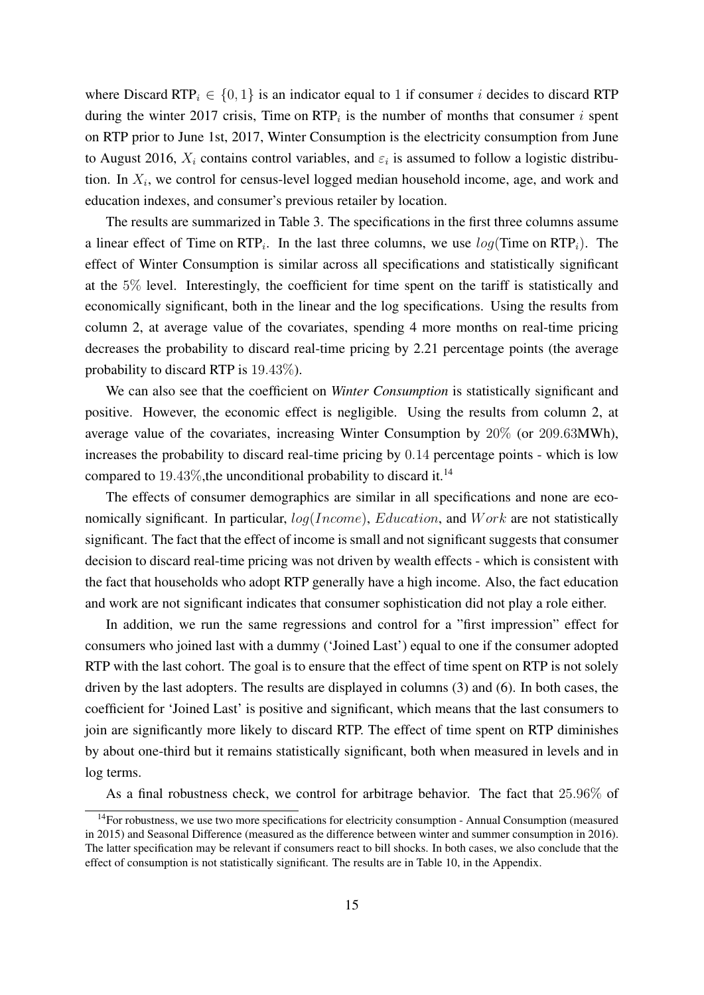where Discard RTP<sub>i</sub>  $\in \{0, 1\}$  is an indicator equal to 1 if consumer *i* decides to discard RTP during the winter 2017 crisis, Time on  $RTP_i$  is the number of months that consumer i spent on RTP prior to June 1st, 2017, Winter Consumption is the electricity consumption from June to August 2016,  $X_i$  contains control variables, and  $\varepsilon_i$  is assumed to follow a logistic distribution. In  $X_i$ , we control for census-level logged median household income, age, and work and education indexes, and consumer's previous retailer by location.

The results are summarized in Table 3. The specifications in the first three columns assume a linear effect of Time on  $\text{RTP}_i$ . In the last three columns, we use  $log(\text{Time on RTP}_i)$ . The effect of Winter Consumption is similar across all specifications and statistically significant at the 5% level. Interestingly, the coefficient for time spent on the tariff is statistically and economically significant, both in the linear and the log specifications. Using the results from column 2, at average value of the covariates, spending 4 more months on real-time pricing decreases the probability to discard real-time pricing by 2.21 percentage points (the average probability to discard RTP is 19.43%).

We can also see that the coefficient on *Winter Consumption* is statistically significant and positive. However, the economic effect is negligible. Using the results from column 2, at average value of the covariates, increasing Winter Consumption by 20% (or 209.63MWh), increases the probability to discard real-time pricing by 0.14 percentage points - which is low compared to  $19.43\%$ , the unconditional probability to discard it.<sup>14</sup>

The effects of consumer demographics are similar in all specifications and none are economically significant. In particular,  $log(Income)$ ,  $Education$ , and  $Work$  are not statistically significant. The fact that the effect of income is small and not significant suggests that consumer decision to discard real-time pricing was not driven by wealth effects - which is consistent with the fact that households who adopt RTP generally have a high income. Also, the fact education and work are not significant indicates that consumer sophistication did not play a role either.

In addition, we run the same regressions and control for a "first impression" effect for consumers who joined last with a dummy ('Joined Last') equal to one if the consumer adopted RTP with the last cohort. The goal is to ensure that the effect of time spent on RTP is not solely driven by the last adopters. The results are displayed in columns (3) and (6). In both cases, the coefficient for 'Joined Last' is positive and significant, which means that the last consumers to join are significantly more likely to discard RTP. The effect of time spent on RTP diminishes by about one-third but it remains statistically significant, both when measured in levels and in log terms.

As a final robustness check, we control for arbitrage behavior. The fact that 25.96% of

<sup>&</sup>lt;sup>14</sup>For robustness, we use two more specifications for electricity consumption - Annual Consumption (measured in 2015) and Seasonal Difference (measured as the difference between winter and summer consumption in 2016). The latter specification may be relevant if consumers react to bill shocks. In both cases, we also conclude that the effect of consumption is not statistically significant. The results are in Table 10, in the Appendix.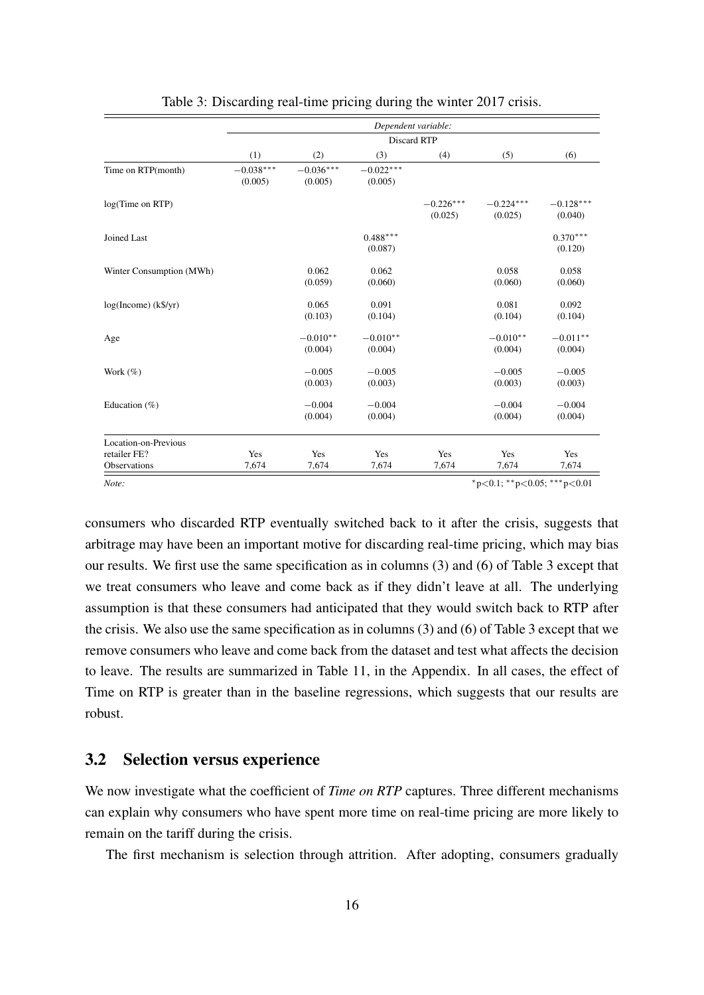|                                                      |                        |                        | Dependent variable:    |                        |                        |                        |
|------------------------------------------------------|------------------------|------------------------|------------------------|------------------------|------------------------|------------------------|
|                                                      |                        |                        | <b>Discard RTP</b>     |                        |                        |                        |
|                                                      | (1)                    | (2)                    | (3)                    | (4)                    | (5)                    | (6)                    |
| Time on RTP(month)                                   | $-0.038***$<br>(0.005) | $-0.036***$<br>(0.005) | $-0.022***$<br>(0.005) |                        |                        |                        |
| log(Time on RTP)                                     |                        |                        |                        | $-0.226***$<br>(0.025) | $-0.224***$<br>(0.025) | $-0.128***$<br>(0.040) |
| Joined Last                                          |                        |                        | $0.488***$<br>(0.087)  |                        |                        | $0.370***$<br>(0.120)  |
| Winter Consumption (MWh)                             |                        | 0.062<br>(0.059)       | 0.062<br>(0.060)       |                        | 0.058<br>(0.060)       | 0.058<br>(0.060)       |
| $log(Income)$ (k\$/yr)                               |                        | 0.065<br>(0.103)       | 0.091<br>(0.104)       |                        | 0.081<br>(0.104)       | 0.092<br>(0.104)       |
| Age                                                  |                        | $-0.010**$<br>(0.004)  | $-0.010**$<br>(0.004)  |                        | $-0.010**$<br>(0.004)  | $-0.011**$<br>(0.004)  |
| Work $(\%)$                                          |                        | $-0.005$<br>(0.003)    | $-0.005$<br>(0.003)    |                        | $-0.005$<br>(0.003)    | $-0.005$<br>(0.003)    |
| Education $(\% )$                                    |                        | $-0.004$<br>(0.004)    | $-0.004$<br>(0.004)    |                        | $-0.004$<br>(0.004)    | $-0.004$<br>(0.004)    |
| Location-on-Previous<br>retailer FE?<br>Observations | Yes<br>7,674           | Yes<br>7,674           | Yes<br>7,674           | Yes<br>7,674           | Yes<br>7,674           | Yes<br>7,674           |

Table 3: Discarding real-time pricing during the winter 2017 crisis.

*Note:*  $* p < 0.1; * * p < 0.05; ** p < 0.01$ 

consumers who discarded RTP eventually switched back to it after the crisis, suggests that arbitrage may have been an important motive for discarding real-time pricing, which may bias our results. We first use the same specification as in columns (3) and (6) of Table 3 except that we treat consumers who leave and come back as if they didn't leave at all. The underlying assumption is that these consumers had anticipated that they would switch back to RTP after the crisis. We also use the same specification as in columns (3) and (6) of Table 3 except that we remove consumers who leave and come back from the dataset and test what affects the decision to leave. The results are summarized in Table 11, in the Appendix. In all cases, the effect of Time on RTP is greater than in the baseline regressions, which suggests that our results are robust.

#### 3.2 Selection versus experience

We now investigate what the coefficient of *Time on RTP* captures. Three different mechanisms can explain why consumers who have spent more time on real-time pricing are more likely to remain on the tariff during the crisis.

The first mechanism is selection through attrition. After adopting, consumers gradually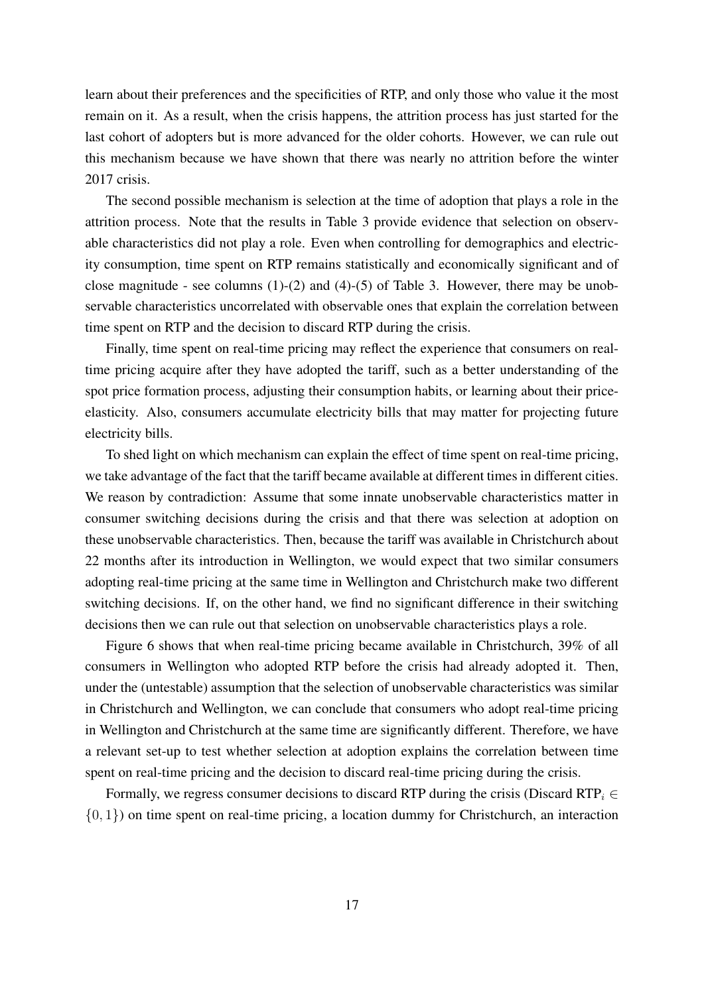learn about their preferences and the specificities of RTP, and only those who value it the most remain on it. As a result, when the crisis happens, the attrition process has just started for the last cohort of adopters but is more advanced for the older cohorts. However, we can rule out this mechanism because we have shown that there was nearly no attrition before the winter 2017 crisis.

The second possible mechanism is selection at the time of adoption that plays a role in the attrition process. Note that the results in Table 3 provide evidence that selection on observable characteristics did not play a role. Even when controlling for demographics and electricity consumption, time spent on RTP remains statistically and economically significant and of close magnitude - see columns  $(1)-(2)$  and  $(4)-(5)$  of Table 3. However, there may be unobservable characteristics uncorrelated with observable ones that explain the correlation between time spent on RTP and the decision to discard RTP during the crisis.

Finally, time spent on real-time pricing may reflect the experience that consumers on realtime pricing acquire after they have adopted the tariff, such as a better understanding of the spot price formation process, adjusting their consumption habits, or learning about their priceelasticity. Also, consumers accumulate electricity bills that may matter for projecting future electricity bills.

To shed light on which mechanism can explain the effect of time spent on real-time pricing, we take advantage of the fact that the tariff became available at different times in different cities. We reason by contradiction: Assume that some innate unobservable characteristics matter in consumer switching decisions during the crisis and that there was selection at adoption on these unobservable characteristics. Then, because the tariff was available in Christchurch about 22 months after its introduction in Wellington, we would expect that two similar consumers adopting real-time pricing at the same time in Wellington and Christchurch make two different switching decisions. If, on the other hand, we find no significant difference in their switching decisions then we can rule out that selection on unobservable characteristics plays a role.

Figure 6 shows that when real-time pricing became available in Christchurch, 39% of all consumers in Wellington who adopted RTP before the crisis had already adopted it. Then, under the (untestable) assumption that the selection of unobservable characteristics was similar in Christchurch and Wellington, we can conclude that consumers who adopt real-time pricing in Wellington and Christchurch at the same time are significantly different. Therefore, we have a relevant set-up to test whether selection at adoption explains the correlation between time spent on real-time pricing and the decision to discard real-time pricing during the crisis.

Formally, we regress consumer decisions to discard RTP during the crisis (Discard RTP<sub>i</sub>  $\in$  $\{0, 1\}$ ) on time spent on real-time pricing, a location dummy for Christchurch, an interaction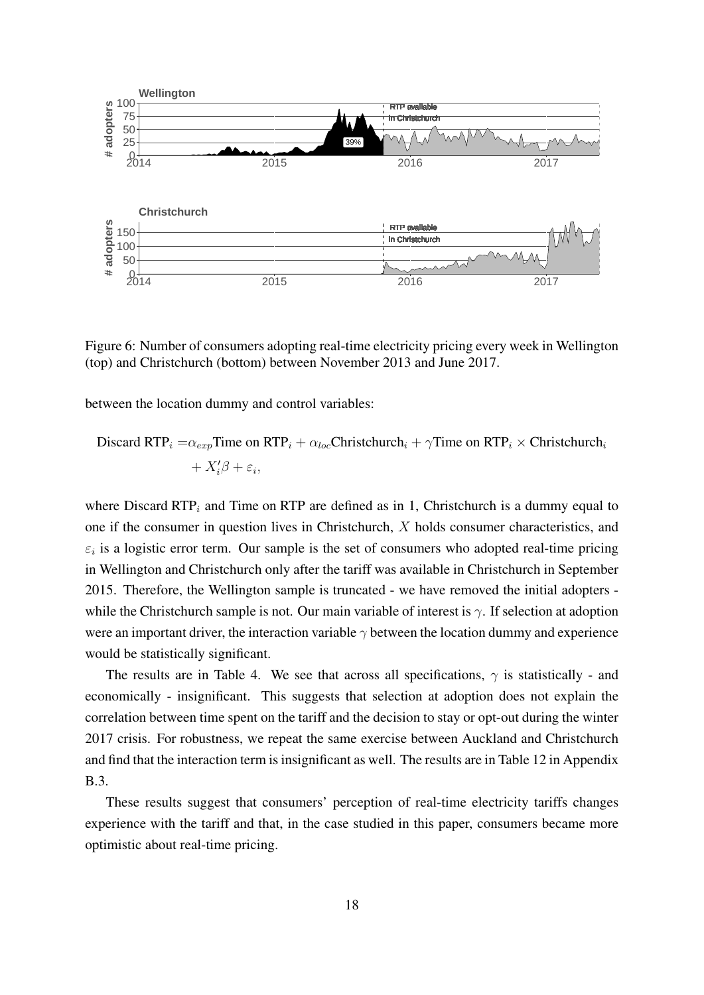

Figure 6: Number of consumers adopting real-time electricity pricing every week in Wellington (top) and Christchurch (bottom) between November 2013 and June 2017.

between the location dummy and control variables:

Discard RTP<sub>i</sub> = 
$$
\alpha_{exp}
$$
Time on RTP<sub>i</sub> +  $\alpha_{loc}$ Christchurch<sub>i</sub> +  $\gamma$ Time on RTP<sub>i</sub> × Christchurch<sub>i</sub>  
+  $X'_i\beta + \varepsilon_i$ ,

where Discard  $RTP_i$  and Time on RTP are defined as in 1, Christchurch is a dummy equal to one if the consumer in question lives in Christchurch, X holds consumer characteristics, and  $\varepsilon_i$  is a logistic error term. Our sample is the set of consumers who adopted real-time pricing in Wellington and Christchurch only after the tariff was available in Christchurch in September 2015. Therefore, the Wellington sample is truncated - we have removed the initial adopters while the Christchurch sample is not. Our main variable of interest is  $\gamma$ . If selection at adoption were an important driver, the interaction variable  $\gamma$  between the location dummy and experience would be statistically significant.

The results are in Table 4. We see that across all specifications,  $\gamma$  is statistically - and economically - insignificant. This suggests that selection at adoption does not explain the correlation between time spent on the tariff and the decision to stay or opt-out during the winter 2017 crisis. For robustness, we repeat the same exercise between Auckland and Christchurch and find that the interaction term is insignificant as well. The results are in Table 12 in Appendix B.3.

These results suggest that consumers' perception of real-time electricity tariffs changes experience with the tariff and that, in the case studied in this paper, consumers became more optimistic about real-time pricing.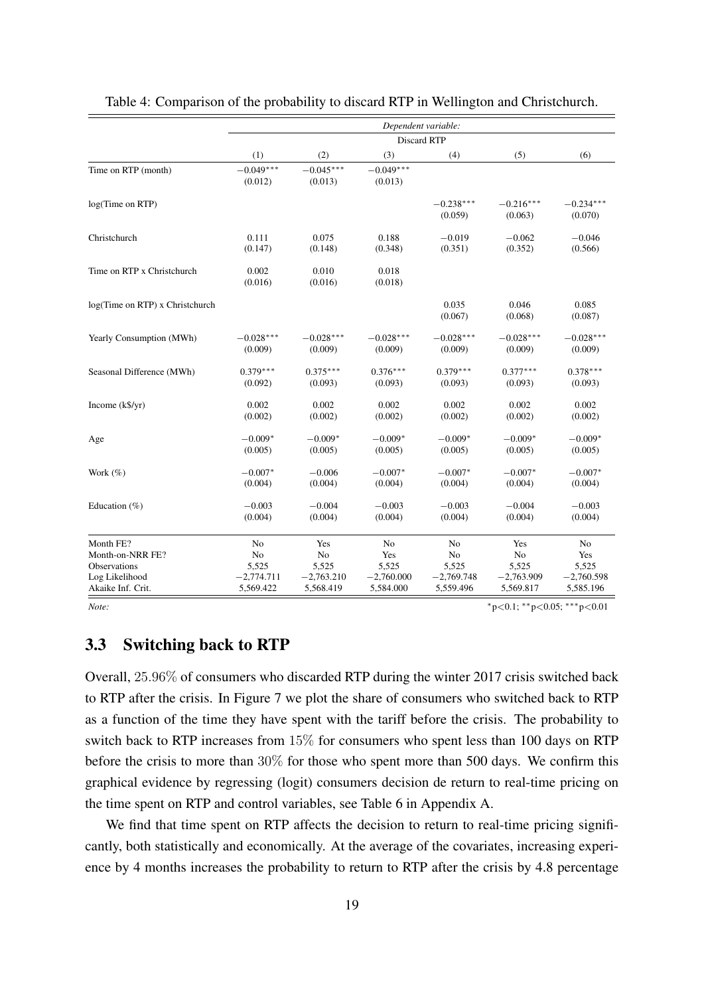|                                 |                        |                        | Dependent variable:    |                        |                        |                        |
|---------------------------------|------------------------|------------------------|------------------------|------------------------|------------------------|------------------------|
|                                 |                        |                        | <b>Discard RTP</b>     |                        |                        |                        |
|                                 | (1)                    | (2)                    | (3)                    | (4)                    | (5)                    | (6)                    |
| Time on RTP (month)             | $-0.049***$<br>(0.012) | $-0.045***$<br>(0.013) | $-0.049***$<br>(0.013) |                        |                        |                        |
| log(Time on RTP)                |                        |                        |                        | $-0.238***$<br>(0.059) | $-0.216***$<br>(0.063) | $-0.234***$<br>(0.070) |
| Christchurch                    | 0.111                  | 0.075                  | 0.188                  | $-0.019$               | $-0.062$               | $-0.046$               |
|                                 | (0.147)                | (0.148)                | (0.348)                | (0.351)                | (0.352)                | (0.566)                |
| Time on RTP x Christchurch      | 0.002<br>(0.016)       | 0.010<br>(0.016)       | 0.018<br>(0.018)       |                        |                        |                        |
| log(Time on RTP) x Christchurch |                        |                        |                        | 0.035<br>(0.067)       | 0.046<br>(0.068)       | 0.085<br>(0.087)       |
| Yearly Consumption (MWh)        | $-0.028***$            | $-0.028***$            | $-0.028***$            | $-0.028***$            | $-0.028***$            | $-0.028***$            |
|                                 | (0.009)                | (0.009)                | (0.009)                | (0.009)                | (0.009)                | (0.009)                |
| Seasonal Difference (MWh)       | $0.379***$             | $0.375***$             | $0.376***$             | $0.379***$             | $0.377***$             | $0.378***$             |
|                                 | (0.092)                | (0.093)                | (0.093)                | (0.093)                | (0.093)                | (0.093)                |
| Income $(k\frac{6}{y}r)$        | 0.002                  | 0.002                  | 0.002                  | 0.002                  | 0.002                  | 0.002                  |
|                                 | (0.002)                | (0.002)                | (0.002)                | (0.002)                | (0.002)                | (0.002)                |
| Age                             | $-0.009*$              | $-0.009*$              | $-0.009*$              | $-0.009*$              | $-0.009*$              | $-0.009*$              |
|                                 | (0.005)                | (0.005)                | (0.005)                | (0.005)                | (0.005)                | (0.005)                |
| Work $(\%)$                     | $-0.007*$              | $-0.006$               | $-0.007*$              | $-0.007*$              | $-0.007*$              | $-0.007*$              |
|                                 | (0.004)                | (0.004)                | (0.004)                | (0.004)                | (0.004)                | (0.004)                |
| Education $(\% )$               | $-0.003$               | $-0.004$               | $-0.003$               | $-0.003$               | $-0.004$               | $-0.003$               |
|                                 | (0.004)                | (0.004)                | (0.004)                | (0.004)                | (0.004)                | (0.004)                |
| Month FE?                       | No                     | Yes                    | No                     | No                     | Yes                    | No                     |
| Month-on-NRR FE?                | No                     | No                     | Yes                    | No                     | No                     | Yes                    |
| Observations                    | 5,525                  | 5,525                  | 5,525                  | 5,525                  | 5,525                  | 5,525                  |
| Log Likelihood                  | $-2,774.711$           | $-2,763.210$           | $-2,760,000$           | $-2,769.748$           | $-2,763.909$           | $-2,760.598$           |
| Akaike Inf. Crit.               | 5,569.422              | 5,568.419              | 5,584.000              | 5,559.496              | 5,569.817              | 5,585.196              |

Table 4: Comparison of the probability to discard RTP in Wellington and Christchurch.

*Note:*  $*_{p<0.1; **p<0.05; ***p<0.01}$ 

#### 3.3 Switching back to RTP

Overall, 25.96% of consumers who discarded RTP during the winter 2017 crisis switched back to RTP after the crisis. In Figure 7 we plot the share of consumers who switched back to RTP as a function of the time they have spent with the tariff before the crisis. The probability to switch back to RTP increases from 15% for consumers who spent less than 100 days on RTP before the crisis to more than 30% for those who spent more than 500 days. We confirm this graphical evidence by regressing (logit) consumers decision de return to real-time pricing on the time spent on RTP and control variables, see Table 6 in Appendix A.

We find that time spent on RTP affects the decision to return to real-time pricing significantly, both statistically and economically. At the average of the covariates, increasing experience by 4 months increases the probability to return to RTP after the crisis by 4.8 percentage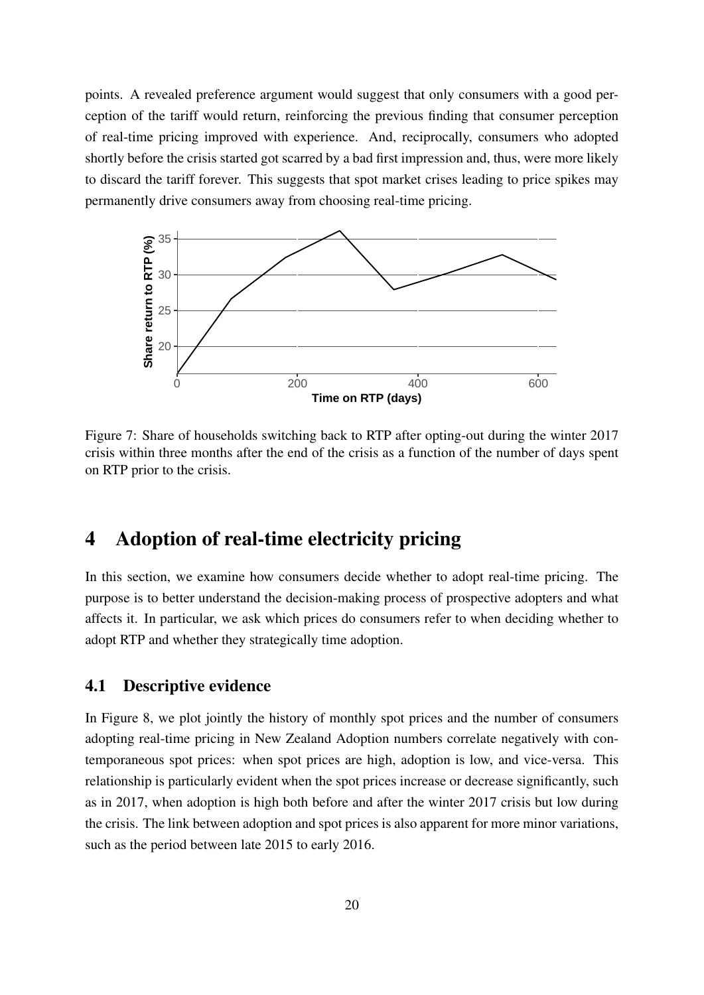points. A revealed preference argument would suggest that only consumers with a good perception of the tariff would return, reinforcing the previous finding that consumer perception of real-time pricing improved with experience. And, reciprocally, consumers who adopted shortly before the crisis started got scarred by a bad first impression and, thus, were more likely to discard the tariff forever. This suggests that spot market crises leading to price spikes may permanently drive consumers away from choosing real-time pricing.



Figure 7: Share of households switching back to RTP after opting-out during the winter 2017 crisis within three months after the end of the crisis as a function of the number of days spent on RTP prior to the crisis.

## 4 Adoption of real-time electricity pricing

In this section, we examine how consumers decide whether to adopt real-time pricing. The purpose is to better understand the decision-making process of prospective adopters and what affects it. In particular, we ask which prices do consumers refer to when deciding whether to adopt RTP and whether they strategically time adoption.

#### 4.1 Descriptive evidence

In Figure 8, we plot jointly the history of monthly spot prices and the number of consumers adopting real-time pricing in New Zealand Adoption numbers correlate negatively with contemporaneous spot prices: when spot prices are high, adoption is low, and vice-versa. This relationship is particularly evident when the spot prices increase or decrease significantly, such as in 2017, when adoption is high both before and after the winter 2017 crisis but low during the crisis. The link between adoption and spot prices is also apparent for more minor variations, such as the period between late 2015 to early 2016.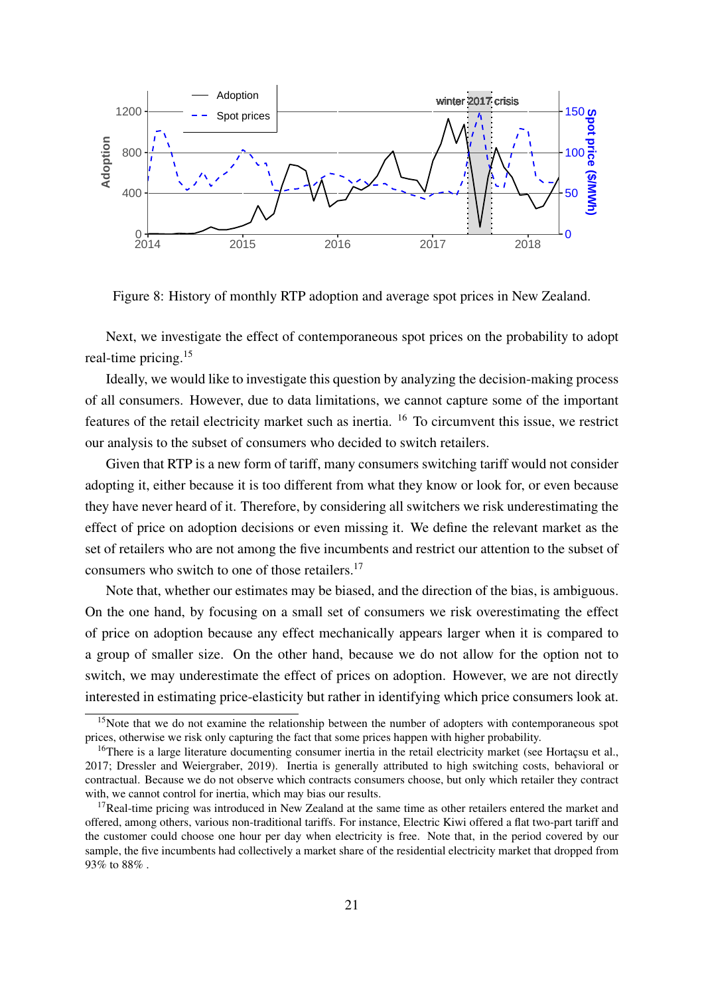

Figure 8: History of monthly RTP adoption and average spot prices in New Zealand.

Next, we investigate the effect of contemporaneous spot prices on the probability to adopt real-time pricing.<sup>15</sup>

Ideally, we would like to investigate this question by analyzing the decision-making process of all consumers. However, due to data limitations, we cannot capture some of the important features of the retail electricity market such as inertia. <sup>16</sup> To circumvent this issue, we restrict our analysis to the subset of consumers who decided to switch retailers.

Given that RTP is a new form of tariff, many consumers switching tariff would not consider adopting it, either because it is too different from what they know or look for, or even because they have never heard of it. Therefore, by considering all switchers we risk underestimating the effect of price on adoption decisions or even missing it. We define the relevant market as the set of retailers who are not among the five incumbents and restrict our attention to the subset of consumers who switch to one of those retailers.<sup>17</sup>

Note that, whether our estimates may be biased, and the direction of the bias, is ambiguous. On the one hand, by focusing on a small set of consumers we risk overestimating the effect of price on adoption because any effect mechanically appears larger when it is compared to a group of smaller size. On the other hand, because we do not allow for the option not to switch, we may underestimate the effect of prices on adoption. However, we are not directly interested in estimating price-elasticity but rather in identifying which price consumers look at.

<sup>&</sup>lt;sup>15</sup>Note that we do not examine the relationship between the number of adopters with contemporaneous spot prices, otherwise we risk only capturing the fact that some prices happen with higher probability.

<sup>&</sup>lt;sup>16</sup>There is a large literature documenting consumer inertia in the retail electricity market (see Hortaçsu et al., 2017; Dressler and Weiergraber, 2019). Inertia is generally attributed to high switching costs, behavioral or contractual. Because we do not observe which contracts consumers choose, but only which retailer they contract with, we cannot control for inertia, which may bias our results.

<sup>&</sup>lt;sup>17</sup>Real-time pricing was introduced in New Zealand at the same time as other retailers entered the market and offered, among others, various non-traditional tariffs. For instance, Electric Kiwi offered a flat two-part tariff and the customer could choose one hour per day when electricity is free. Note that, in the period covered by our sample, the five incumbents had collectively a market share of the residential electricity market that dropped from 93% to 88% .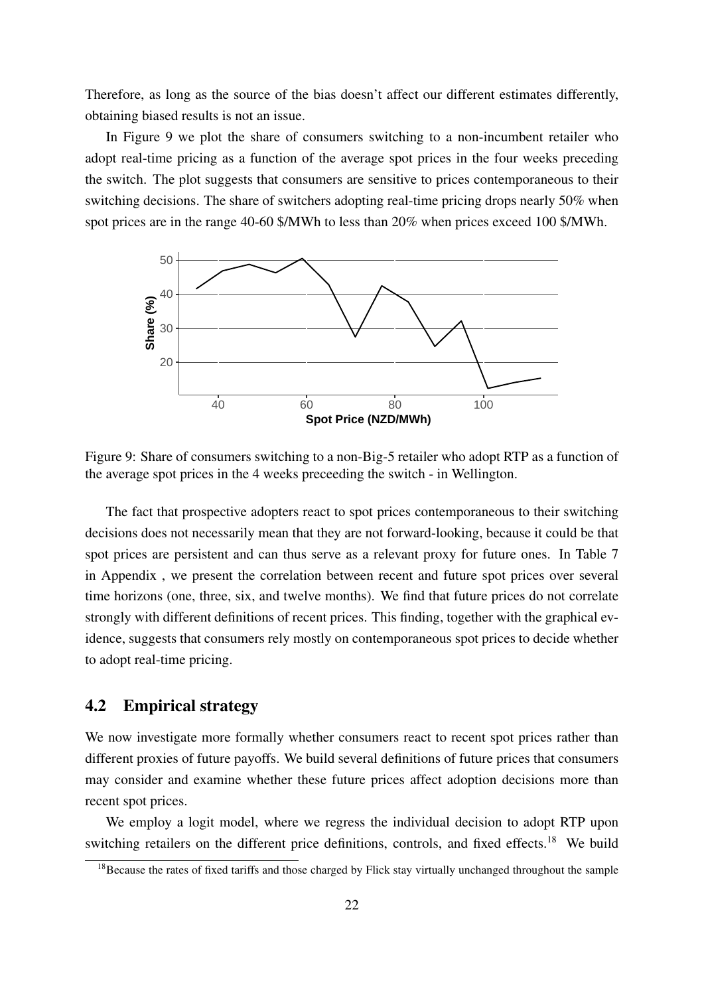Therefore, as long as the source of the bias doesn't affect our different estimates differently, obtaining biased results is not an issue.

In Figure 9 we plot the share of consumers switching to a non-incumbent retailer who adopt real-time pricing as a function of the average spot prices in the four weeks preceding the switch. The plot suggests that consumers are sensitive to prices contemporaneous to their switching decisions. The share of switchers adopting real-time pricing drops nearly 50% when spot prices are in the range 40-60 \$/MWh to less than 20% when prices exceed 100 \$/MWh.



Figure 9: Share of consumers switching to a non-Big-5 retailer who adopt RTP as a function of the average spot prices in the 4 weeks preceeding the switch - in Wellington.

The fact that prospective adopters react to spot prices contemporaneous to their switching decisions does not necessarily mean that they are not forward-looking, because it could be that spot prices are persistent and can thus serve as a relevant proxy for future ones. In Table 7 in Appendix , we present the correlation between recent and future spot prices over several time horizons (one, three, six, and twelve months). We find that future prices do not correlate strongly with different definitions of recent prices. This finding, together with the graphical evidence, suggests that consumers rely mostly on contemporaneous spot prices to decide whether to adopt real-time pricing.

### 4.2 Empirical strategy

We now investigate more formally whether consumers react to recent spot prices rather than different proxies of future payoffs. We build several definitions of future prices that consumers may consider and examine whether these future prices affect adoption decisions more than recent spot prices.

We employ a logit model, where we regress the individual decision to adopt RTP upon switching retailers on the different price definitions, controls, and fixed effects.<sup>18</sup> We build

<sup>&</sup>lt;sup>18</sup>Because the rates of fixed tariffs and those charged by Flick stay virtually unchanged throughout the sample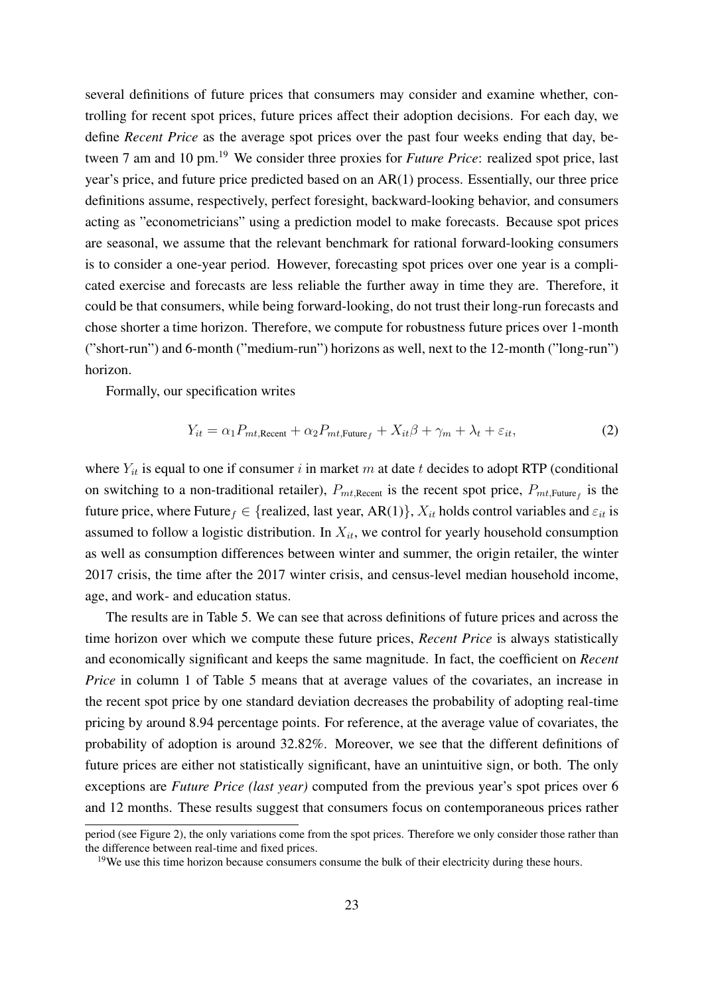several definitions of future prices that consumers may consider and examine whether, controlling for recent spot prices, future prices affect their adoption decisions. For each day, we define *Recent Price* as the average spot prices over the past four weeks ending that day, between 7 am and 10 pm.<sup>19</sup> We consider three proxies for *Future Price*: realized spot price, last year's price, and future price predicted based on an AR(1) process. Essentially, our three price definitions assume, respectively, perfect foresight, backward-looking behavior, and consumers acting as "econometricians" using a prediction model to make forecasts. Because spot prices are seasonal, we assume that the relevant benchmark for rational forward-looking consumers is to consider a one-year period. However, forecasting spot prices over one year is a complicated exercise and forecasts are less reliable the further away in time they are. Therefore, it could be that consumers, while being forward-looking, do not trust their long-run forecasts and chose shorter a time horizon. Therefore, we compute for robustness future prices over 1-month ("short-run") and 6-month ("medium-run") horizons as well, next to the 12-month ("long-run") horizon.

Formally, our specification writes

$$
Y_{it} = \alpha_1 P_{mt, \text{Recent}} + \alpha_2 P_{mt, \text{Future}_f} + X_{it}\beta + \gamma_m + \lambda_t + \varepsilon_{it},\tag{2}
$$

where  $Y_{it}$  is equal to one if consumer i in market m at date t decides to adopt RTP (conditional on switching to a non-traditional retailer),  $P_{mt,Recent}$  is the recent spot price,  $P_{mt,Future_f}$  is the future price, where Future  $f \in \{realized, last year, AR(1)\}, X_{it}$  holds control variables and  $\varepsilon_{it}$  is assumed to follow a logistic distribution. In  $X_{it}$ , we control for yearly household consumption as well as consumption differences between winter and summer, the origin retailer, the winter 2017 crisis, the time after the 2017 winter crisis, and census-level median household income, age, and work- and education status.

The results are in Table 5. We can see that across definitions of future prices and across the time horizon over which we compute these future prices, *Recent Price* is always statistically and economically significant and keeps the same magnitude. In fact, the coefficient on *Recent Price* in column 1 of Table 5 means that at average values of the covariates, an increase in the recent spot price by one standard deviation decreases the probability of adopting real-time pricing by around 8.94 percentage points. For reference, at the average value of covariates, the probability of adoption is around 32.82%. Moreover, we see that the different definitions of future prices are either not statistically significant, have an unintuitive sign, or both. The only exceptions are *Future Price (last year)* computed from the previous year's spot prices over 6 and 12 months. These results suggest that consumers focus on contemporaneous prices rather

period (see Figure 2), the only variations come from the spot prices. Therefore we only consider those rather than the difference between real-time and fixed prices.

 $19$ We use this time horizon because consumers consume the bulk of their electricity during these hours.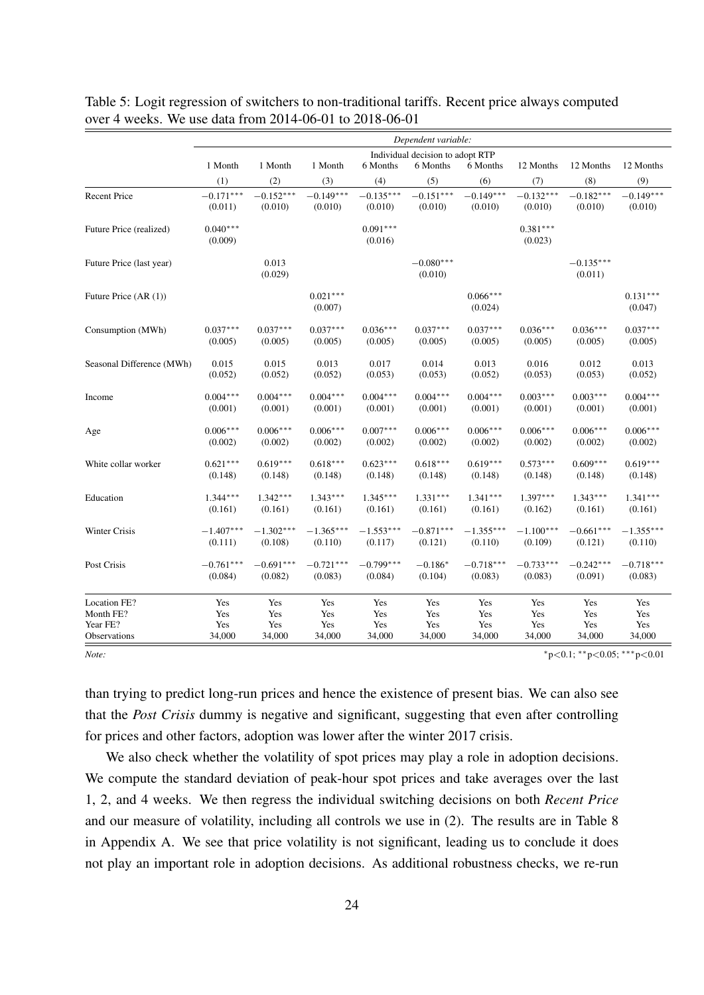|                           |                       |                  |                       |                       | Dependent variable:              |                       |                       |                                           |                       |
|---------------------------|-----------------------|------------------|-----------------------|-----------------------|----------------------------------|-----------------------|-----------------------|-------------------------------------------|-----------------------|
|                           |                       |                  |                       |                       | Individual decision to adopt RTP |                       |                       |                                           |                       |
|                           | 1 Month               | 1 Month          | 1 Month               | 6 Months              | 6 Months                         | 6 Months              | 12 Months             | 12 Months                                 | 12 Months             |
|                           | (1)                   | (2)              | (3)                   | (4)                   | (5)                              | (6)                   | (7)                   | (8)                                       | (9)                   |
| <b>Recent Price</b>       | $-0.171***$           | $-0.152***$      | $-0.149***$           | $-0.135***$           | $-0.151***$                      | $-0.149***$           | $-0.132***$           | $-0.182***$                               | $-0.149***$           |
|                           | (0.011)               | (0.010)          | (0.010)               | (0.010)               | (0.010)                          | (0.010)               | (0.010)               | (0.010)                                   | (0.010)               |
| Future Price (realized)   | $0.040***$<br>(0.009) |                  |                       | $0.091***$<br>(0.016) |                                  |                       | $0.381***$<br>(0.023) |                                           |                       |
| Future Price (last year)  |                       | 0.013<br>(0.029) |                       |                       | $-0.080***$<br>(0.010)           |                       |                       | $-0.135***$<br>(0.011)                    |                       |
| Future Price (AR (1))     |                       |                  | $0.021***$<br>(0.007) |                       |                                  | $0.066***$<br>(0.024) |                       |                                           | $0.131***$<br>(0.047) |
| Consumption (MWh)         | $0.037***$            | $0.037***$       | $0.037***$            | $0.036***$            | $0.037***$                       | $0.037***$            | $0.036***$            | $0.036***$                                | $0.037***$            |
|                           | (0.005)               | (0.005)          | (0.005)               | (0.005)               | (0.005)                          | (0.005)               | (0.005)               | (0.005)                                   | (0.005)               |
| Seasonal Difference (MWh) | 0.015                 | 0.015            | 0.013                 | 0.017                 | 0.014                            | 0.013                 | 0.016                 | 0.012                                     | 0.013                 |
|                           | (0.052)               | (0.052)          | (0.052)               | (0.053)               | (0.053)                          | (0.052)               | (0.053)               | (0.053)                                   | (0.052)               |
| Income                    | $0.004***$            | $0.004***$       | $0.004***$            | $0.004***$            | $0.004***$                       | $0.004***$            | $0.003***$            | $0.003***$                                | $0.004***$            |
|                           | (0.001)               | (0.001)          | (0.001)               | (0.001)               | (0.001)                          | (0.001)               | (0.001)               | (0.001)                                   | (0.001)               |
| Age                       | $0.006***$            | $0.006***$       | $0.006***$            | $0.007***$            | $0.006***$                       | $0.006***$            | $0.006***$            | $0.006***$                                | $0.006***$            |
|                           | (0.002)               | (0.002)          | (0.002)               | (0.002)               | (0.002)                          | (0.002)               | (0.002)               | (0.002)                                   | (0.002)               |
| White collar worker       | $0.621***$            | $0.619***$       | $0.618***$            | $0.623***$            | $0.618***$                       | $0.619***$            | $0.573***$            | $0.609***$                                | $0.619***$            |
|                           | (0.148)               | (0.148)          | (0.148)               | (0.148)               | (0.148)                          | (0.148)               | (0.148)               | (0.148)                                   | (0.148)               |
| Education                 | $1.344***$            | $1.342***$       | $1.343***$            | $1.345***$            | $1.331***$                       | $1.341***$            | $1.397***$            | $1.343***$                                | $1.341***$            |
|                           | (0.161)               | (0.161)          | (0.161)               | (0.161)               | (0.161)                          | (0.161)               | (0.162)               | (0.161)                                   | (0.161)               |
| Winter Crisis             | $-1.407***$           | $-1.302***$      | $-1.365***$           | $-1.553***$           | $-0.871***$                      | $-1.355***$           | $-1.100***$           | $-0.661***$                               | $-1.355***$           |
|                           | (0.111)               | (0.108)          | (0.110)               | (0.117)               | (0.121)                          | (0.110)               | (0.109)               | (0.121)                                   | (0.110)               |
| Post Crisis               | $-0.761***$           | $-0.691***$      | $-0.721***$           | $-0.799***$           | $-0.186*$                        | $-0.718***$           | $-0.733***$           | $-0.242***$                               | $-0.718***$           |
|                           | (0.084)               | (0.082)          | (0.083)               | (0.084)               | (0.104)                          | (0.083)               | (0.083)               | (0.091)                                   | (0.083)               |
| Location FE?              | Yes                   | Yes              | Yes                   | Yes                   | Yes                              | Yes                   | Yes                   | Yes                                       | Yes                   |
| Month FE?                 | Yes                   | Yes              | Yes                   | Yes                   | Yes                              | Yes                   | Yes                   | Yes                                       | Yes                   |
| Year FE?                  | Yes                   | Yes              | Yes                   | Yes                   | Yes                              | Yes                   | Yes                   | Yes                                       | Yes                   |
| Observations              | 34,000                | 34,000           | 34,000                | 34,000                | 34,000                           | 34,000                | 34,000                | 34,000                                    | 34,000                |
| Note:                     |                       |                  |                       |                       |                                  |                       |                       | $*_{p<0.1}$ : $*_{p<0.05}$ : $*_{p<0.01}$ |                       |

Table 5: Logit regression of switchers to non-traditional tariffs. Recent price always computed over 4 weeks. We use data from 2014-06-01 to 2018-06-01

than trying to predict long-run prices and hence the existence of present bias. We can also see that the *Post Crisis* dummy is negative and significant, suggesting that even after controlling for prices and other factors, adoption was lower after the winter 2017 crisis.

We also check whether the volatility of spot prices may play a role in adoption decisions. We compute the standard deviation of peak-hour spot prices and take averages over the last 1, 2, and 4 weeks. We then regress the individual switching decisions on both *Recent Price* and our measure of volatility, including all controls we use in (2). The results are in Table 8 in Appendix A. We see that price volatility is not significant, leading us to conclude it does not play an important role in adoption decisions. As additional robustness checks, we re-run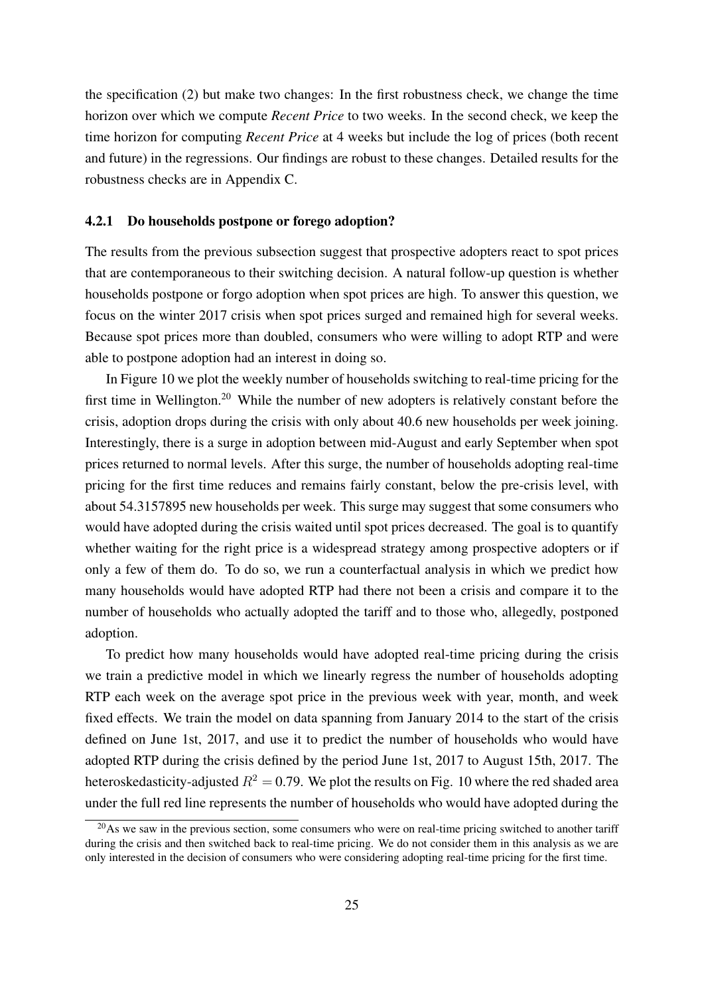the specification (2) but make two changes: In the first robustness check, we change the time horizon over which we compute *Recent Price* to two weeks. In the second check, we keep the time horizon for computing *Recent Price* at 4 weeks but include the log of prices (both recent and future) in the regressions. Our findings are robust to these changes. Detailed results for the robustness checks are in Appendix C.

#### 4.2.1 Do households postpone or forego adoption?

The results from the previous subsection suggest that prospective adopters react to spot prices that are contemporaneous to their switching decision. A natural follow-up question is whether households postpone or forgo adoption when spot prices are high. To answer this question, we focus on the winter 2017 crisis when spot prices surged and remained high for several weeks. Because spot prices more than doubled, consumers who were willing to adopt RTP and were able to postpone adoption had an interest in doing so.

In Figure 10 we plot the weekly number of households switching to real-time pricing for the first time in Wellington.<sup>20</sup> While the number of new adopters is relatively constant before the crisis, adoption drops during the crisis with only about 40.6 new households per week joining. Interestingly, there is a surge in adoption between mid-August and early September when spot prices returned to normal levels. After this surge, the number of households adopting real-time pricing for the first time reduces and remains fairly constant, below the pre-crisis level, with about 54.3157895 new households per week. This surge may suggest that some consumers who would have adopted during the crisis waited until spot prices decreased. The goal is to quantify whether waiting for the right price is a widespread strategy among prospective adopters or if only a few of them do. To do so, we run a counterfactual analysis in which we predict how many households would have adopted RTP had there not been a crisis and compare it to the number of households who actually adopted the tariff and to those who, allegedly, postponed adoption.

To predict how many households would have adopted real-time pricing during the crisis we train a predictive model in which we linearly regress the number of households adopting RTP each week on the average spot price in the previous week with year, month, and week fixed effects. We train the model on data spanning from January 2014 to the start of the crisis defined on June 1st, 2017, and use it to predict the number of households who would have adopted RTP during the crisis defined by the period June 1st, 2017 to August 15th, 2017. The heteroskedasticity-adjusted  $R^2 = 0.79$ . We plot the results on Fig. 10 where the red shaded area under the full red line represents the number of households who would have adopted during the

 $^{20}$ As we saw in the previous section, some consumers who were on real-time pricing switched to another tariff during the crisis and then switched back to real-time pricing. We do not consider them in this analysis as we are only interested in the decision of consumers who were considering adopting real-time pricing for the first time.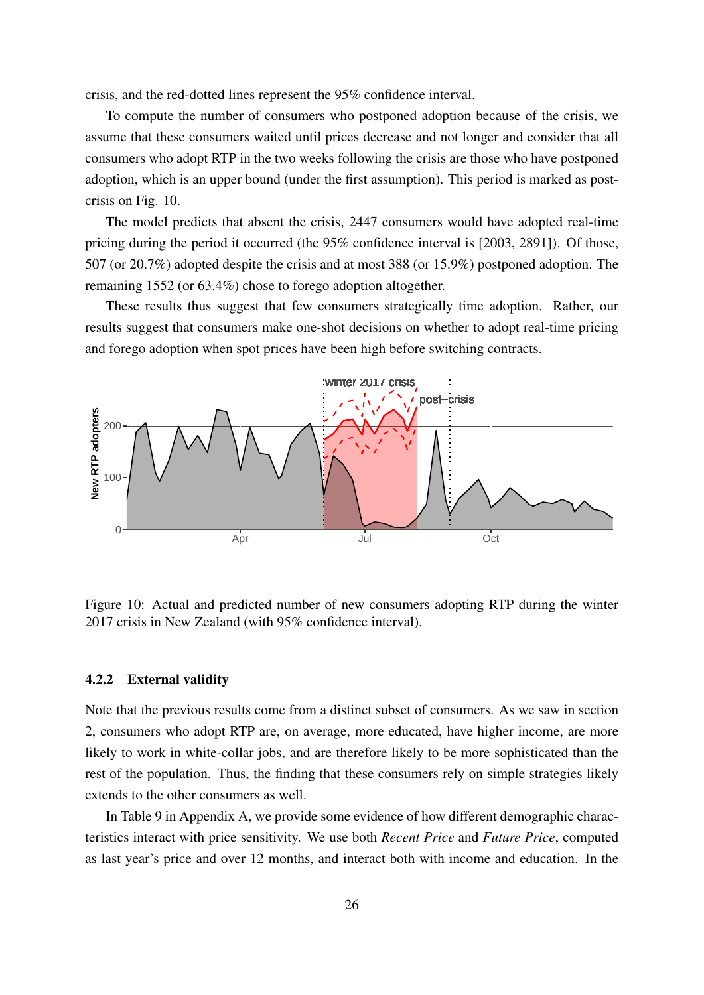crisis, and the red-dotted lines represent the 95% confidence interval.

To compute the number of consumers who postponed adoption because of the crisis, we assume that these consumers waited until prices decrease and not longer and consider that all consumers who adopt RTP in the two weeks following the crisis are those who have postponed adoption, which is an upper bound (under the first assumption). This period is marked as postcrisis on Fig. 10.

The model predicts that absent the crisis, 2447 consumers would have adopted real-time pricing during the period it occurred (the 95% confidence interval is [2003, 2891]). Of those, 507 (or 20.7%) adopted despite the crisis and at most 388 (or 15.9%) postponed adoption. The remaining 1552 (or 63.4%) chose to forego adoption altogether.

These results thus suggest that few consumers strategically time adoption. Rather, our results suggest that consumers make one-shot decisions on whether to adopt real-time pricing and forego adoption when spot prices have been high before switching contracts.



Figure 10: Actual and predicted number of new consumers adopting RTP during the winter 2017 crisis in New Zealand (with 95% confidence interval).

#### 4.2.2 External validity

Note that the previous results come from a distinct subset of consumers. As we saw in section 2, consumers who adopt RTP are, on average, more educated, have higher income, are more likely to work in white-collar jobs, and are therefore likely to be more sophisticated than the rest of the population. Thus, the finding that these consumers rely on simple strategies likely extends to the other consumers as well.

In Table 9 in Appendix A, we provide some evidence of how different demographic characteristics interact with price sensitivity. We use both *Recent Price* and *Future Price*, computed as last year's price and over 12 months, and interact both with income and education. In the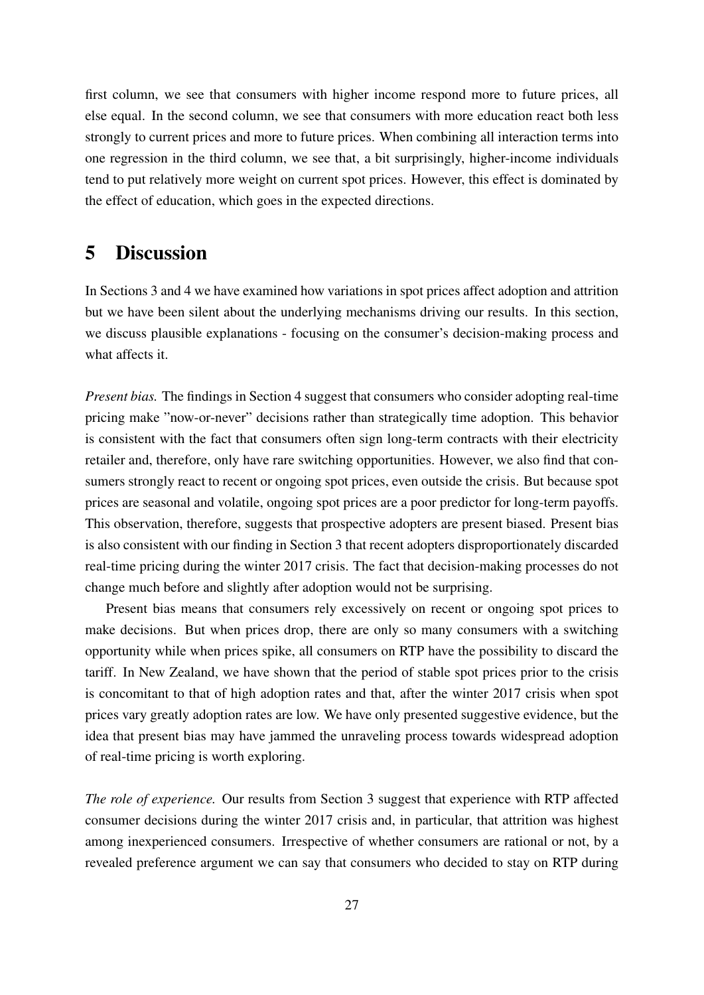first column, we see that consumers with higher income respond more to future prices, all else equal. In the second column, we see that consumers with more education react both less strongly to current prices and more to future prices. When combining all interaction terms into one regression in the third column, we see that, a bit surprisingly, higher-income individuals tend to put relatively more weight on current spot prices. However, this effect is dominated by the effect of education, which goes in the expected directions.

### 5 Discussion

In Sections 3 and 4 we have examined how variations in spot prices affect adoption and attrition but we have been silent about the underlying mechanisms driving our results. In this section, we discuss plausible explanations - focusing on the consumer's decision-making process and what affects it.

*Present bias.* The findings in Section 4 suggest that consumers who consider adopting real-time pricing make "now-or-never" decisions rather than strategically time adoption. This behavior is consistent with the fact that consumers often sign long-term contracts with their electricity retailer and, therefore, only have rare switching opportunities. However, we also find that consumers strongly react to recent or ongoing spot prices, even outside the crisis. But because spot prices are seasonal and volatile, ongoing spot prices are a poor predictor for long-term payoffs. This observation, therefore, suggests that prospective adopters are present biased. Present bias is also consistent with our finding in Section 3 that recent adopters disproportionately discarded real-time pricing during the winter 2017 crisis. The fact that decision-making processes do not change much before and slightly after adoption would not be surprising.

Present bias means that consumers rely excessively on recent or ongoing spot prices to make decisions. But when prices drop, there are only so many consumers with a switching opportunity while when prices spike, all consumers on RTP have the possibility to discard the tariff. In New Zealand, we have shown that the period of stable spot prices prior to the crisis is concomitant to that of high adoption rates and that, after the winter 2017 crisis when spot prices vary greatly adoption rates are low. We have only presented suggestive evidence, but the idea that present bias may have jammed the unraveling process towards widespread adoption of real-time pricing is worth exploring.

*The role of experience.* Our results from Section 3 suggest that experience with RTP affected consumer decisions during the winter 2017 crisis and, in particular, that attrition was highest among inexperienced consumers. Irrespective of whether consumers are rational or not, by a revealed preference argument we can say that consumers who decided to stay on RTP during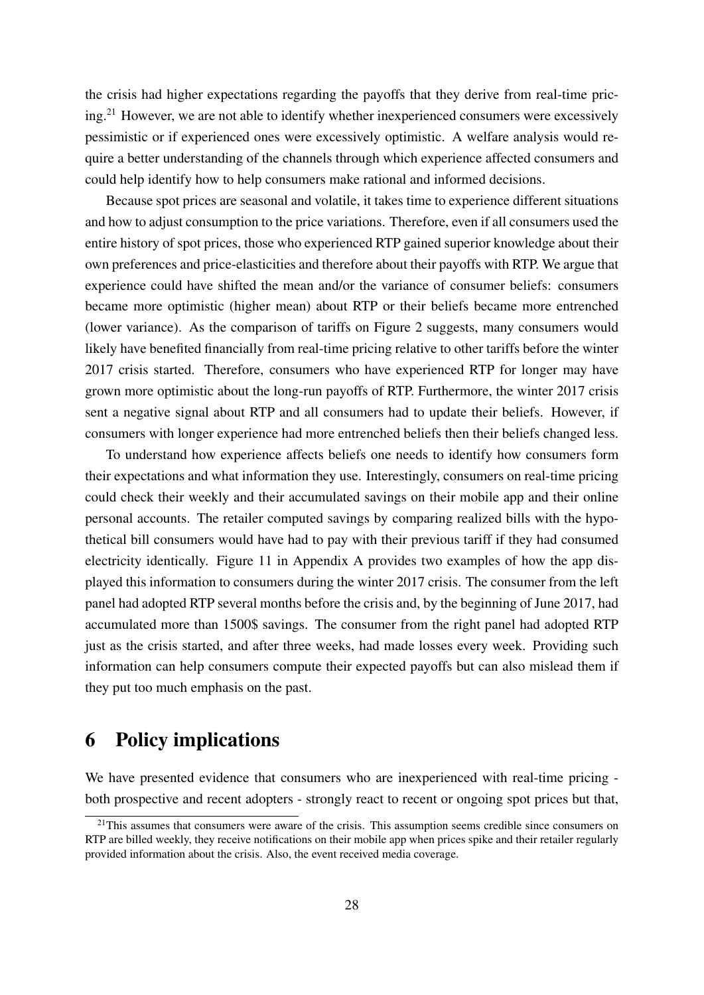the crisis had higher expectations regarding the payoffs that they derive from real-time pricing.<sup>21</sup> However, we are not able to identify whether inexperienced consumers were excessively pessimistic or if experienced ones were excessively optimistic. A welfare analysis would require a better understanding of the channels through which experience affected consumers and could help identify how to help consumers make rational and informed decisions.

Because spot prices are seasonal and volatile, it takes time to experience different situations and how to adjust consumption to the price variations. Therefore, even if all consumers used the entire history of spot prices, those who experienced RTP gained superior knowledge about their own preferences and price-elasticities and therefore about their payoffs with RTP. We argue that experience could have shifted the mean and/or the variance of consumer beliefs: consumers became more optimistic (higher mean) about RTP or their beliefs became more entrenched (lower variance). As the comparison of tariffs on Figure 2 suggests, many consumers would likely have benefited financially from real-time pricing relative to other tariffs before the winter 2017 crisis started. Therefore, consumers who have experienced RTP for longer may have grown more optimistic about the long-run payoffs of RTP. Furthermore, the winter 2017 crisis sent a negative signal about RTP and all consumers had to update their beliefs. However, if consumers with longer experience had more entrenched beliefs then their beliefs changed less.

To understand how experience affects beliefs one needs to identify how consumers form their expectations and what information they use. Interestingly, consumers on real-time pricing could check their weekly and their accumulated savings on their mobile app and their online personal accounts. The retailer computed savings by comparing realized bills with the hypothetical bill consumers would have had to pay with their previous tariff if they had consumed electricity identically. Figure 11 in Appendix A provides two examples of how the app displayed this information to consumers during the winter 2017 crisis. The consumer from the left panel had adopted RTP several months before the crisis and, by the beginning of June 2017, had accumulated more than 1500\$ savings. The consumer from the right panel had adopted RTP just as the crisis started, and after three weeks, had made losses every week. Providing such information can help consumers compute their expected payoffs but can also mislead them if they put too much emphasis on the past.

### 6 Policy implications

We have presented evidence that consumers who are inexperienced with real-time pricing both prospective and recent adopters - strongly react to recent or ongoing spot prices but that,

 $21$ This assumes that consumers were aware of the crisis. This assumption seems credible since consumers on RTP are billed weekly, they receive notifications on their mobile app when prices spike and their retailer regularly provided information about the crisis. Also, the event received media coverage.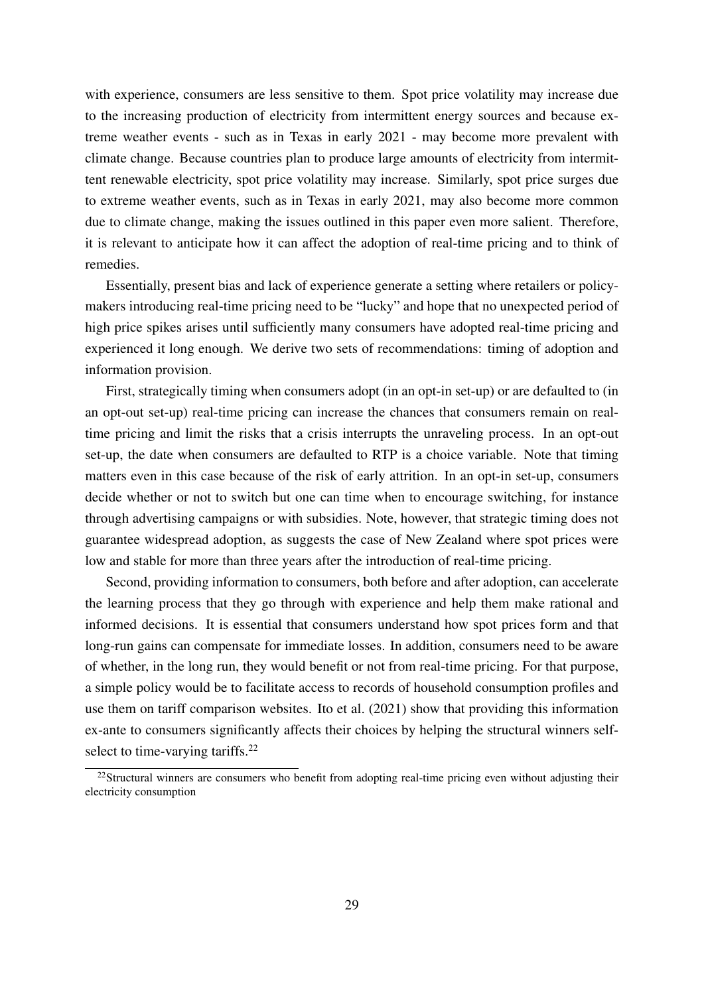with experience, consumers are less sensitive to them. Spot price volatility may increase due to the increasing production of electricity from intermittent energy sources and because extreme weather events - such as in Texas in early 2021 - may become more prevalent with climate change. Because countries plan to produce large amounts of electricity from intermittent renewable electricity, spot price volatility may increase. Similarly, spot price surges due to extreme weather events, such as in Texas in early 2021, may also become more common due to climate change, making the issues outlined in this paper even more salient. Therefore, it is relevant to anticipate how it can affect the adoption of real-time pricing and to think of remedies.

Essentially, present bias and lack of experience generate a setting where retailers or policymakers introducing real-time pricing need to be "lucky" and hope that no unexpected period of high price spikes arises until sufficiently many consumers have adopted real-time pricing and experienced it long enough. We derive two sets of recommendations: timing of adoption and information provision.

First, strategically timing when consumers adopt (in an opt-in set-up) or are defaulted to (in an opt-out set-up) real-time pricing can increase the chances that consumers remain on realtime pricing and limit the risks that a crisis interrupts the unraveling process. In an opt-out set-up, the date when consumers are defaulted to RTP is a choice variable. Note that timing matters even in this case because of the risk of early attrition. In an opt-in set-up, consumers decide whether or not to switch but one can time when to encourage switching, for instance through advertising campaigns or with subsidies. Note, however, that strategic timing does not guarantee widespread adoption, as suggests the case of New Zealand where spot prices were low and stable for more than three years after the introduction of real-time pricing.

Second, providing information to consumers, both before and after adoption, can accelerate the learning process that they go through with experience and help them make rational and informed decisions. It is essential that consumers understand how spot prices form and that long-run gains can compensate for immediate losses. In addition, consumers need to be aware of whether, in the long run, they would benefit or not from real-time pricing. For that purpose, a simple policy would be to facilitate access to records of household consumption profiles and use them on tariff comparison websites. Ito et al. (2021) show that providing this information ex-ante to consumers significantly affects their choices by helping the structural winners selfselect to time-varying tariffs.<sup>22</sup>

 $22$ Structural winners are consumers who benefit from adopting real-time pricing even without adjusting their electricity consumption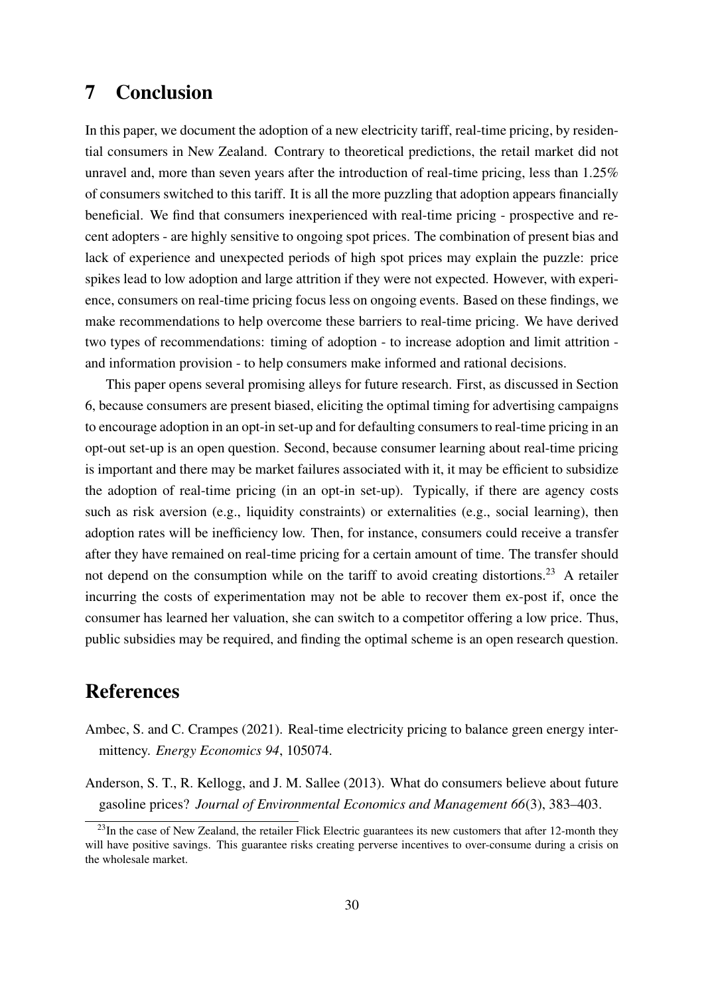## 7 Conclusion

In this paper, we document the adoption of a new electricity tariff, real-time pricing, by residential consumers in New Zealand. Contrary to theoretical predictions, the retail market did not unravel and, more than seven years after the introduction of real-time pricing, less than 1.25% of consumers switched to this tariff. It is all the more puzzling that adoption appears financially beneficial. We find that consumers inexperienced with real-time pricing - prospective and recent adopters - are highly sensitive to ongoing spot prices. The combination of present bias and lack of experience and unexpected periods of high spot prices may explain the puzzle: price spikes lead to low adoption and large attrition if they were not expected. However, with experience, consumers on real-time pricing focus less on ongoing events. Based on these findings, we make recommendations to help overcome these barriers to real-time pricing. We have derived two types of recommendations: timing of adoption - to increase adoption and limit attrition and information provision - to help consumers make informed and rational decisions.

This paper opens several promising alleys for future research. First, as discussed in Section 6, because consumers are present biased, eliciting the optimal timing for advertising campaigns to encourage adoption in an opt-in set-up and for defaulting consumers to real-time pricing in an opt-out set-up is an open question. Second, because consumer learning about real-time pricing is important and there may be market failures associated with it, it may be efficient to subsidize the adoption of real-time pricing (in an opt-in set-up). Typically, if there are agency costs such as risk aversion (e.g., liquidity constraints) or externalities (e.g., social learning), then adoption rates will be inefficiency low. Then, for instance, consumers could receive a transfer after they have remained on real-time pricing for a certain amount of time. The transfer should not depend on the consumption while on the tariff to avoid creating distortions.<sup>23</sup> A retailer incurring the costs of experimentation may not be able to recover them ex-post if, once the consumer has learned her valuation, she can switch to a competitor offering a low price. Thus, public subsidies may be required, and finding the optimal scheme is an open research question.

### References

- Ambec, S. and C. Crampes (2021). Real-time electricity pricing to balance green energy intermittency. *Energy Economics 94*, 105074.
- Anderson, S. T., R. Kellogg, and J. M. Sallee (2013). What do consumers believe about future gasoline prices? *Journal of Environmental Economics and Management 66*(3), 383–403.

<sup>&</sup>lt;sup>23</sup>In the case of New Zealand, the retailer Flick Electric guarantees its new customers that after 12-month they will have positive savings. This guarantee risks creating perverse incentives to over-consume during a crisis on the wholesale market.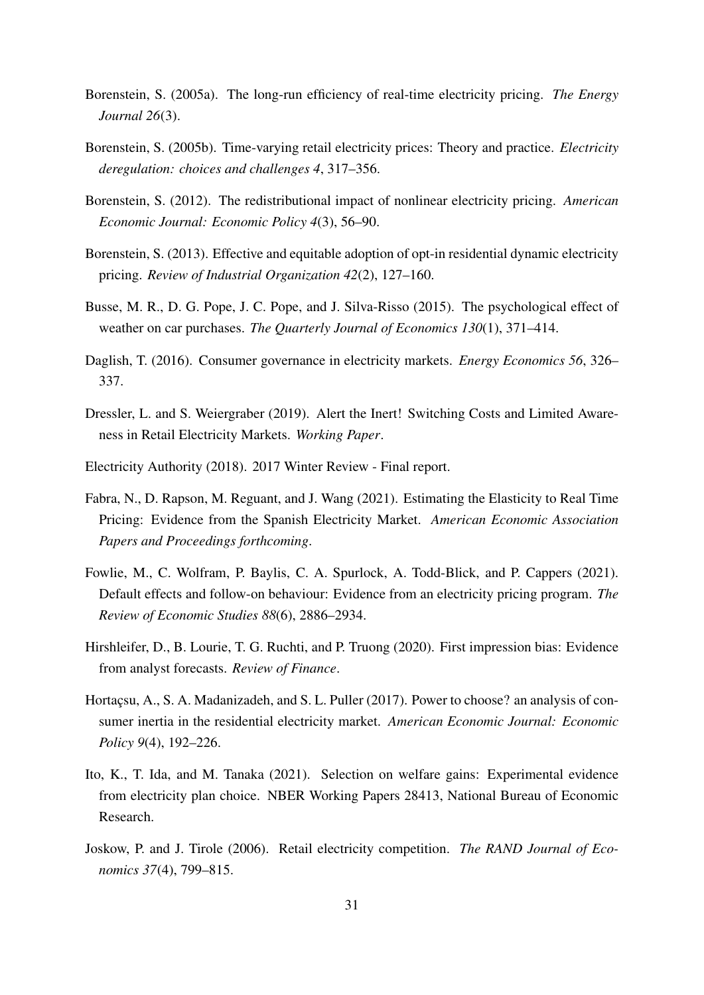- Borenstein, S. (2005a). The long-run efficiency of real-time electricity pricing. *The Energy Journal 26*(3).
- Borenstein, S. (2005b). Time-varying retail electricity prices: Theory and practice. *Electricity deregulation: choices and challenges 4*, 317–356.
- Borenstein, S. (2012). The redistributional impact of nonlinear electricity pricing. *American Economic Journal: Economic Policy 4*(3), 56–90.
- Borenstein, S. (2013). Effective and equitable adoption of opt-in residential dynamic electricity pricing. *Review of Industrial Organization 42*(2), 127–160.
- Busse, M. R., D. G. Pope, J. C. Pope, and J. Silva-Risso (2015). The psychological effect of weather on car purchases. *The Quarterly Journal of Economics 130*(1), 371–414.
- Daglish, T. (2016). Consumer governance in electricity markets. *Energy Economics 56*, 326– 337.
- Dressler, L. and S. Weiergraber (2019). Alert the Inert! Switching Costs and Limited Awareness in Retail Electricity Markets. *Working Paper*.
- Electricity Authority (2018). 2017 Winter Review Final report.
- Fabra, N., D. Rapson, M. Reguant, and J. Wang (2021). Estimating the Elasticity to Real Time Pricing: Evidence from the Spanish Electricity Market. *American Economic Association Papers and Proceedings forthcoming*.
- Fowlie, M., C. Wolfram, P. Baylis, C. A. Spurlock, A. Todd-Blick, and P. Cappers (2021). Default effects and follow-on behaviour: Evidence from an electricity pricing program. *The Review of Economic Studies 88*(6), 2886–2934.
- Hirshleifer, D., B. Lourie, T. G. Ruchti, and P. Truong (2020). First impression bias: Evidence from analyst forecasts. *Review of Finance*.
- Hortacsu, A., S. A. Madanizadeh, and S. L. Puller (2017). Power to choose? an analysis of consumer inertia in the residential electricity market. *American Economic Journal: Economic Policy 9*(4), 192–226.
- Ito, K., T. Ida, and M. Tanaka (2021). Selection on welfare gains: Experimental evidence from electricity plan choice. NBER Working Papers 28413, National Bureau of Economic Research.
- Joskow, P. and J. Tirole (2006). Retail electricity competition. *The RAND Journal of Economics 37*(4), 799–815.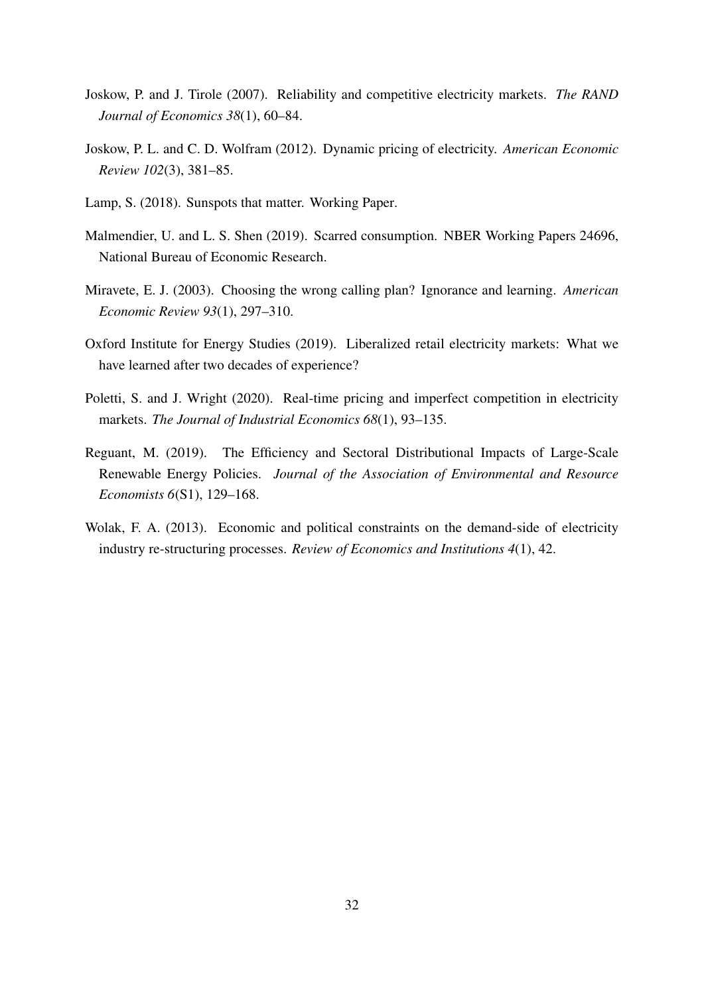- Joskow, P. and J. Tirole (2007). Reliability and competitive electricity markets. *The RAND Journal of Economics 38*(1), 60–84.
- Joskow, P. L. and C. D. Wolfram (2012). Dynamic pricing of electricity. *American Economic Review 102*(3), 381–85.
- Lamp, S. (2018). Sunspots that matter. Working Paper.
- Malmendier, U. and L. S. Shen (2019). Scarred consumption. NBER Working Papers 24696, National Bureau of Economic Research.
- Miravete, E. J. (2003). Choosing the wrong calling plan? Ignorance and learning. *American Economic Review 93*(1), 297–310.
- Oxford Institute for Energy Studies (2019). Liberalized retail electricity markets: What we have learned after two decades of experience?
- Poletti, S. and J. Wright (2020). Real-time pricing and imperfect competition in electricity markets. *The Journal of Industrial Economics 68*(1), 93–135.
- Reguant, M. (2019). The Efficiency and Sectoral Distributional Impacts of Large-Scale Renewable Energy Policies. *Journal of the Association of Environmental and Resource Economists 6*(S1), 129–168.
- Wolak, F. A. (2013). Economic and political constraints on the demand-side of electricity industry re-structuring processes. *Review of Economics and Institutions 4*(1), 42.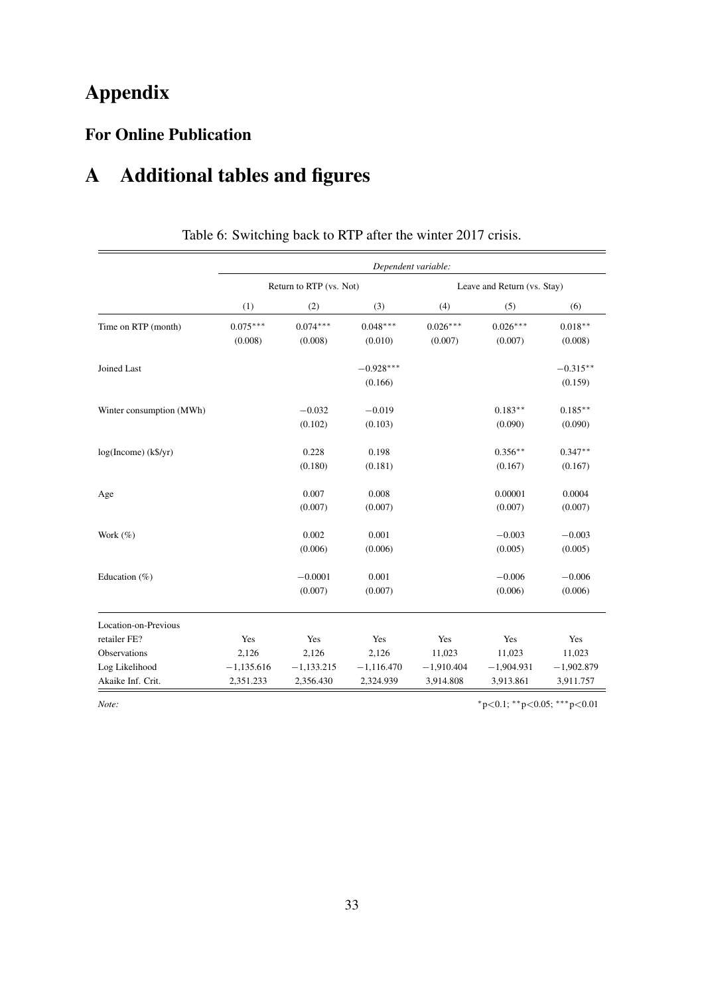# Appendix

## For Online Publication

# A Additional tables and figures

|                          | Dependent variable: |                         |              |              |                             |              |  |  |  |
|--------------------------|---------------------|-------------------------|--------------|--------------|-----------------------------|--------------|--|--|--|
|                          |                     | Return to RTP (vs. Not) |              |              | Leave and Return (vs. Stay) |              |  |  |  |
|                          | (1)                 | (2)                     | (3)          | (4)          | (5)                         | (6)          |  |  |  |
| Time on RTP (month)      | $0.075***$          | $0.074***$              | $0.048***$   | $0.026***$   | $0.026***$                  | $0.018***$   |  |  |  |
|                          | (0.008)             | (0.008)                 | (0.010)      | (0.007)      | (0.007)                     | (0.008)      |  |  |  |
| Joined Last              |                     |                         | $-0.928***$  |              |                             | $-0.315**$   |  |  |  |
|                          |                     |                         | (0.166)      |              |                             | (0.159)      |  |  |  |
| Winter consumption (MWh) |                     | $-0.032$                | $-0.019$     |              | $0.183**$                   | $0.185***$   |  |  |  |
|                          |                     | (0.102)                 | (0.103)      |              | (0.090)                     | (0.090)      |  |  |  |
| $log(Income)$ (k\$/yr)   |                     | 0.228                   | 0.198        |              | $0.356**$                   | $0.347**$    |  |  |  |
|                          |                     | (0.180)                 | (0.181)      |              | (0.167)                     | (0.167)      |  |  |  |
| Age                      |                     | 0.007                   | 0.008        |              | 0.00001                     | 0.0004       |  |  |  |
|                          |                     | (0.007)                 | (0.007)      |              | (0.007)                     | (0.007)      |  |  |  |
| Work $(\%)$              |                     | 0.002                   | 0.001        |              | $-0.003$                    | $-0.003$     |  |  |  |
|                          |                     | (0.006)                 | (0.006)      |              | (0.005)                     | (0.005)      |  |  |  |
| Education $(\% )$        |                     | $-0.0001$               | 0.001        |              | $-0.006$                    | $-0.006$     |  |  |  |
|                          |                     | (0.007)                 | (0.007)      |              | (0.006)                     | (0.006)      |  |  |  |
| Location-on-Previous     |                     |                         |              |              |                             |              |  |  |  |
| retailer FE?             | Yes                 | Yes                     | Yes          | Yes          | Yes                         | Yes          |  |  |  |
| Observations             | 2,126               | 2,126                   | 2,126        | 11,023       | 11,023                      | 11,023       |  |  |  |
| Log Likelihood           | $-1,135.616$        | $-1,133.215$            | $-1,116.470$ | $-1,910.404$ | $-1,904.931$                | $-1,902.879$ |  |  |  |
| Akaike Inf. Crit.        | 2,351.233           | 2,356.430               | 2,324.939    | 3,914.808    | 3,913.861                   | 3,911.757    |  |  |  |

### Table 6: Switching back to RTP after the winter 2017 crisis.

*Note:*  $*_{p<0.1;}$  ∗\* $_{p<0.05;}$  ∗\* $_{p<0.01}$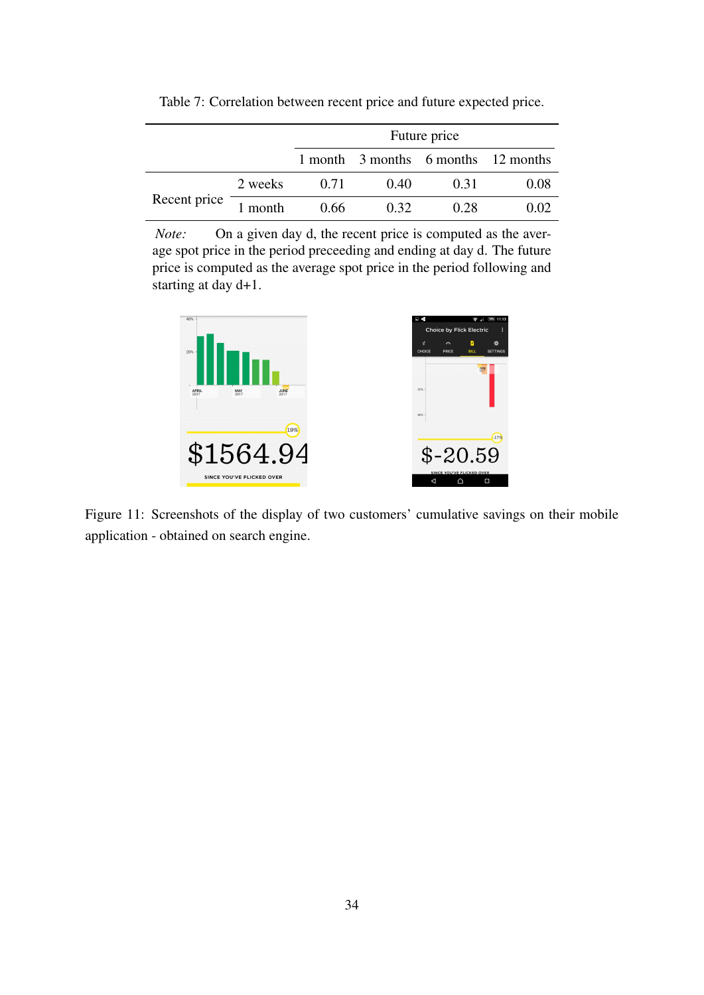|              |         | Future price                        |      |      |      |  |  |  |
|--------------|---------|-------------------------------------|------|------|------|--|--|--|
|              |         | 1 month 3 months 6 months 12 months |      |      |      |  |  |  |
|              | 2 weeks | 0.71                                | 0.40 | 0.31 | 0.08 |  |  |  |
| Recent price | 1 month | 0.66                                | 0.32 | 0.28 | 0.02 |  |  |  |

Table 7: Correlation between recent price and future expected price.

*Note:* On a given day d, the recent price is computed as the average spot price in the period preceeding and ending at day d. The future price is computed as the average spot price in the period following and starting at day d+1.



Figure 11: Screenshots of the display of two customers' cumulative savings on their mobile application - obtained on search engine.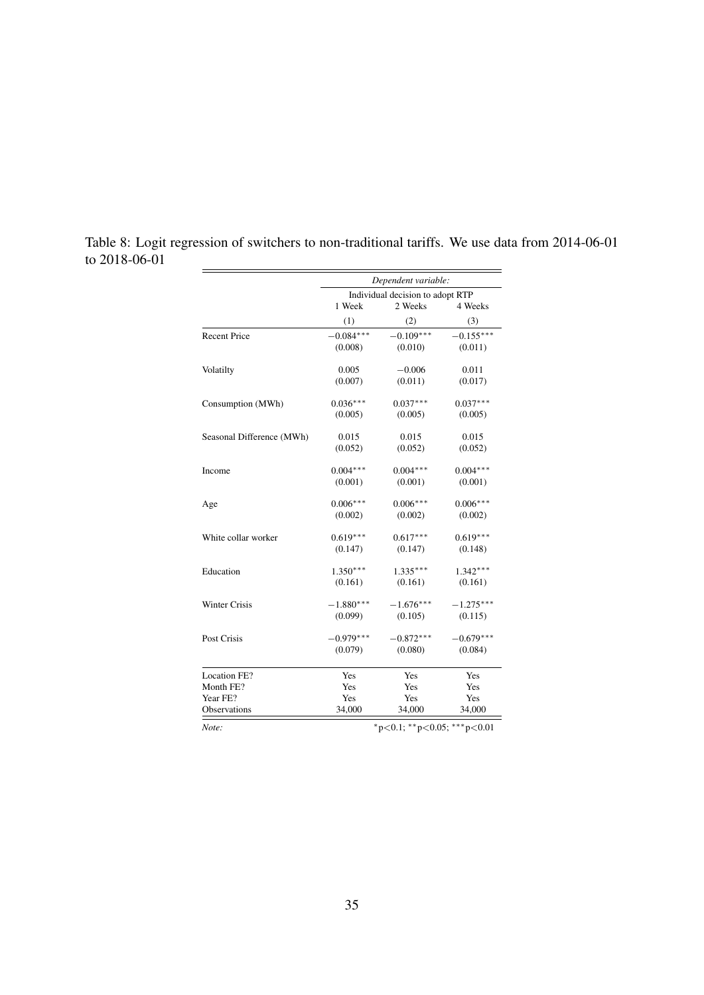|                           | Dependent variable: |                                         |             |  |  |  |  |
|---------------------------|---------------------|-----------------------------------------|-------------|--|--|--|--|
|                           |                     | Individual decision to adopt RTP        |             |  |  |  |  |
|                           | 1 Week              | 2 Weeks                                 | 4 Weeks     |  |  |  |  |
|                           | (1)                 | (2)                                     | (3)         |  |  |  |  |
| <b>Recent Price</b>       | $-0.084***$         | $-0.109***$                             | $-0.155***$ |  |  |  |  |
|                           | (0.008)             | (0.010)                                 | (0.011)     |  |  |  |  |
| Volatilty                 | 0.005               | $-0.006$                                | 0.011       |  |  |  |  |
|                           | (0.007)             | (0.011)                                 | (0.017)     |  |  |  |  |
| Consumption (MWh)         | $0.036***$          | $0.037***$                              | $0.037***$  |  |  |  |  |
|                           | (0.005)             | (0.005)                                 | (0.005)     |  |  |  |  |
| Seasonal Difference (MWh) | 0.015               | 0.015                                   | 0.015       |  |  |  |  |
|                           | (0.052)             | (0.052)                                 | (0.052)     |  |  |  |  |
| Income                    | $0.004***$          | $0.004***$                              | $0.004***$  |  |  |  |  |
|                           | (0.001)             | (0.001)                                 | (0.001)     |  |  |  |  |
| Age                       | $0.006***$          | $0.006***$                              | $0.006***$  |  |  |  |  |
|                           | (0.002)             | (0.002)                                 | (0.002)     |  |  |  |  |
| White collar worker       | $0.619***$          | $0.617***$                              | $0.619***$  |  |  |  |  |
|                           | (0.147)             | (0.147)                                 | (0.148)     |  |  |  |  |
| Education                 | $1.350***$          | $1.335***$                              | $1.342***$  |  |  |  |  |
|                           | (0.161)             | (0.161)                                 | (0.161)     |  |  |  |  |
| Winter Crisis             | $-1.880***$         | $-1.676***$                             | $-1.275***$ |  |  |  |  |
|                           | (0.099)             | (0.105)                                 | (0.115)     |  |  |  |  |
| Post Crisis               | $-0.979***$         | $-0.872***$                             | $-0.679***$ |  |  |  |  |
|                           | (0.079)             | (0.080)                                 | (0.084)     |  |  |  |  |
| Location FE?              | Yes                 | Yes                                     | Yes         |  |  |  |  |
| Month FE?                 | Yes                 | Yes                                     | Yes         |  |  |  |  |
| Year FE?                  | Yes                 | Yes                                     | Yes         |  |  |  |  |
| Observations              | 34,000              | 34,000                                  | 34,000      |  |  |  |  |
| Note:                     |                     | $*_{p<0.1;}$ $*_{p<0.05;}$ $*_{p<0.01}$ |             |  |  |  |  |

Table 8: Logit regression of switchers to non-traditional tariffs. We use data from 2014-06-01 to 2018-06-01  $\equiv$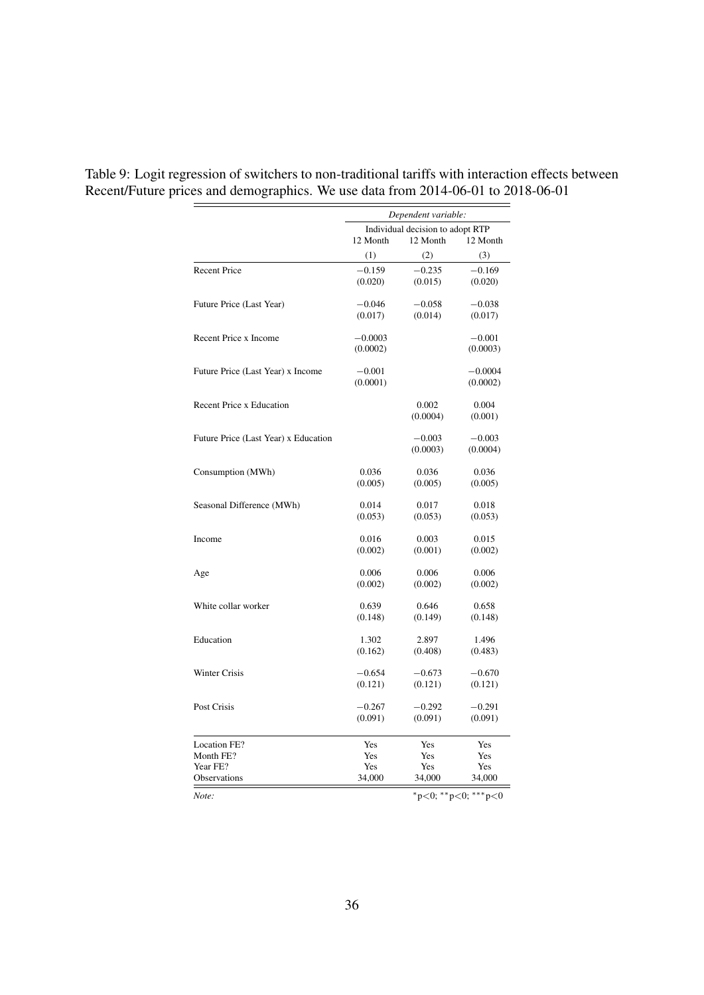|                                      | Dependent variable: |                                  |                     |  |  |
|--------------------------------------|---------------------|----------------------------------|---------------------|--|--|
|                                      |                     | Individual decision to adopt RTP |                     |  |  |
|                                      | 12 Month            | 12 Month                         | 12 Month            |  |  |
|                                      | (1)                 | (2)                              | (3)                 |  |  |
| <b>Recent Price</b>                  | $-0.159$            | $-0.235$                         | $-0.169$            |  |  |
|                                      | (0.020)             | (0.015)                          | (0.020)             |  |  |
| Future Price (Last Year)             | $-0.046$            | $-0.058$                         | $-0.038$            |  |  |
|                                      | (0.017)             | (0.014)                          | (0.017)             |  |  |
| Recent Price x Income                | $-0.0003$           |                                  | $-0.001$            |  |  |
|                                      | (0.0002)            |                                  | (0.0003)            |  |  |
| Future Price (Last Year) x Income    | $-0.001$            |                                  | $-0.0004$           |  |  |
|                                      | (0.0001)            |                                  | (0.0002)            |  |  |
| <b>Recent Price x Education</b>      |                     | 0.002                            | 0.004               |  |  |
|                                      |                     | (0.0004)                         | (0.001)             |  |  |
| Future Price (Last Year) x Education |                     | $-0.003$                         | $-0.003$            |  |  |
|                                      |                     | (0.0003)                         | (0.0004)            |  |  |
| Consumption (MWh)                    | 0.036               | 0.036                            | 0.036               |  |  |
|                                      | (0.005)             | (0.005)                          | (0.005)             |  |  |
| Seasonal Difference (MWh)            | 0.014               | 0.017                            | 0.018               |  |  |
|                                      | (0.053)             | (0.053)                          | (0.053)             |  |  |
| Income                               | 0.016               | 0.003                            | 0.015               |  |  |
|                                      | (0.002)             | (0.001)                          | (0.002)             |  |  |
| Age                                  | 0.006               | 0.006                            | 0.006               |  |  |
|                                      | (0.002)             | (0.002)                          | (0.002)             |  |  |
| White collar worker                  | 0.639               | 0.646                            | 0.658               |  |  |
|                                      | (0.148)             | (0.149)                          | (0.148)             |  |  |
| Education                            | 1.302               | 2.897                            | 1.496               |  |  |
|                                      | (0.162)             | (0.408)                          | (0.483)             |  |  |
| <b>Winter Crisis</b>                 | $-0.654$            | $-0.673$                         | $-0.670$            |  |  |
|                                      | (0.121)             | (0.121)                          | (0.121)             |  |  |
| Post Crisis                          | $-0.267$            | $-0.292$                         | $-0.291$            |  |  |
|                                      | (0.091)             | (0.091)                          | (0.091)             |  |  |
| Location FE?                         | Yes                 | Yes                              | Yes                 |  |  |
| Month FE?                            | Yes                 | Yes                              | Yes                 |  |  |
| Year FE?                             | Yes                 | Yes                              | Yes                 |  |  |
| <b>Observations</b>                  | 34,000              | 34,000                           | 34,000              |  |  |
| Note:                                |                     |                                  | *p<0; **p<0; ***p<0 |  |  |

Table 9: Logit regression of switchers to non-traditional tariffs with interaction effects between Recent/Future prices and demographics. We use data from 2014-06-01 to 2018-06-01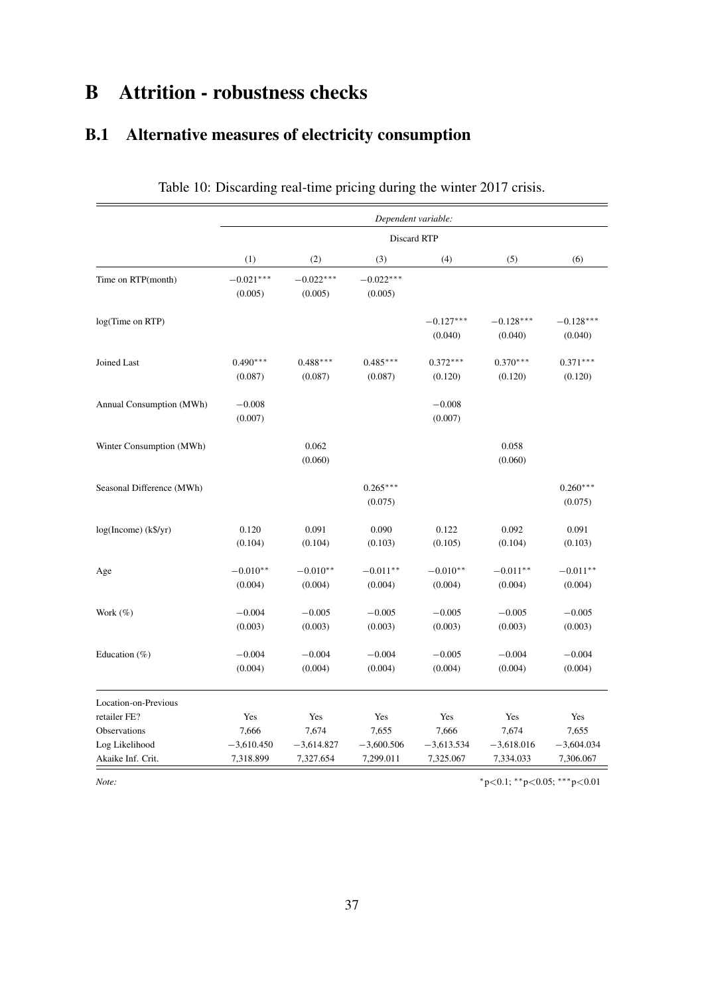# B Attrition - robustness checks

# B.1 Alternative measures of electricity consumption

|                                                     |                                    |                                    |                                    | Dependent variable:                |                                    |                                    |
|-----------------------------------------------------|------------------------------------|------------------------------------|------------------------------------|------------------------------------|------------------------------------|------------------------------------|
|                                                     |                                    |                                    |                                    | Discard RTP                        |                                    |                                    |
|                                                     | (1)                                | (2)                                | (3)                                | (4)                                | (5)                                | (6)                                |
| Time on RTP(month)                                  | $-0.021***$<br>(0.005)             | $-0.022***$<br>(0.005)             | $-0.022***$<br>(0.005)             |                                    |                                    |                                    |
| log(Time on RTP)                                    |                                    |                                    |                                    | $-0.127***$<br>(0.040)             | $-0.128***$<br>(0.040)             | $-0.128***$<br>(0.040)             |
| Joined Last                                         | $0.490***$<br>(0.087)              | $0.488***$<br>(0.087)              | $0.485***$<br>(0.087)              | $0.372***$<br>(0.120)              | $0.370***$<br>(0.120)              | $0.371***$<br>(0.120)              |
| Annual Consumption (MWh)                            | $-0.008$<br>(0.007)                |                                    |                                    | $-0.008$<br>(0.007)                |                                    |                                    |
| Winter Consumption (MWh)                            |                                    | 0.062<br>(0.060)                   |                                    |                                    | 0.058<br>(0.060)                   |                                    |
| Seasonal Difference (MWh)                           |                                    |                                    | $0.265***$<br>(0.075)              |                                    |                                    | $0.260***$<br>(0.075)              |
| log(Income) (k\$/yr)                                | 0.120<br>(0.104)                   | 0.091<br>(0.104)                   | 0.090<br>(0.103)                   | 0.122<br>(0.105)                   | 0.092<br>(0.104)                   | 0.091<br>(0.103)                   |
| Age                                                 | $-0.010**$<br>(0.004)              | $-0.010**$<br>(0.004)              | $-0.011**$<br>(0.004)              | $-0.010**$<br>(0.004)              | $-0.011**$<br>(0.004)              | $-0.011**$<br>(0.004)              |
| Work (%)                                            | $-0.004$<br>(0.003)                | $-0.005$<br>(0.003)                | $-0.005$<br>(0.003)                | $-0.005$<br>(0.003)                | $-0.005$<br>(0.003)                | $-0.005$<br>(0.003)                |
| Education (%)                                       | $-0.004$<br>(0.004)                | $-0.004$<br>(0.004)                | $-0.004$<br>(0.004)                | $-0.005$<br>(0.004)                | $-0.004$<br>(0.004)                | $-0.004$<br>(0.004)                |
| Location-on-Previous<br>retailer FE?                | Yes                                | Yes                                | Yes                                | Yes                                | Yes                                | Yes                                |
| Observations<br>Log Likelihood<br>Akaike Inf. Crit. | 7,666<br>$-3,610.450$<br>7,318.899 | 7,674<br>$-3,614.827$<br>7,327.654 | 7,655<br>$-3,600.506$<br>7,299.011 | 7,666<br>$-3,613.534$<br>7,325.067 | 7,674<br>$-3,618.016$<br>7,334.033 | 7,655<br>$-3,604.034$<br>7,306.067 |

Table 10: Discarding real-time pricing during the winter 2017 crisis.

*Note:*  $*_{p<0.1;}$  ∗\*p<0.05; \*\*\*p<0.01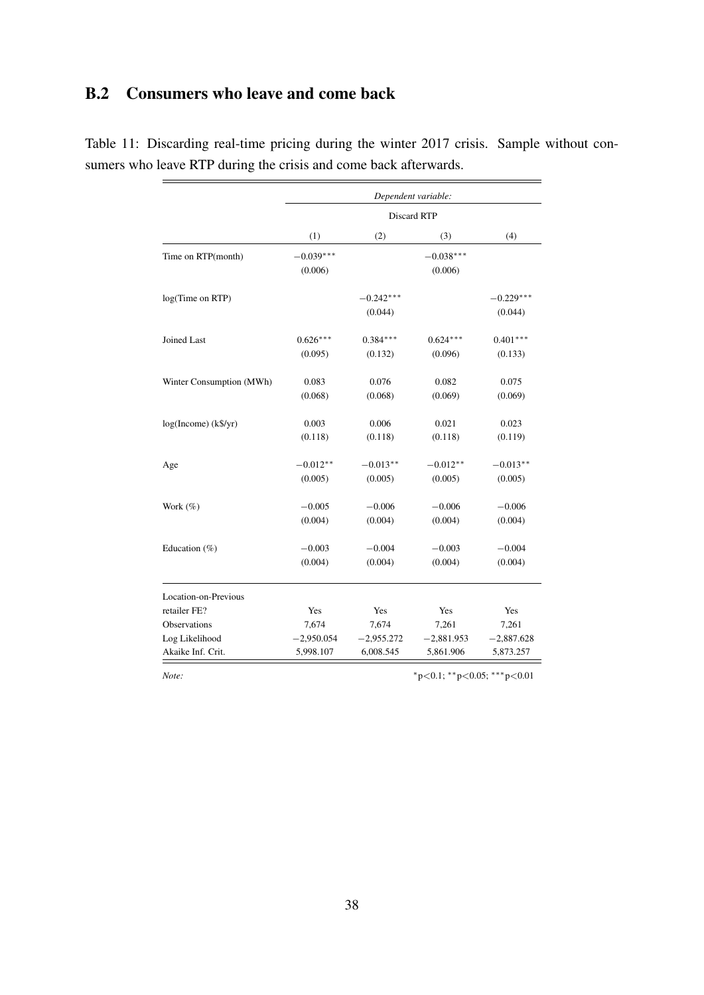### B.2 Consumers who leave and come back

|                          | Dependent variable:    |                        |                        |                        |  |  |  |  |
|--------------------------|------------------------|------------------------|------------------------|------------------------|--|--|--|--|
|                          |                        |                        | Discard RTP            |                        |  |  |  |  |
|                          | (1)                    | (2)                    | (3)                    | (4)                    |  |  |  |  |
| Time on RTP(month)       | $-0.039***$<br>(0.006) |                        | $-0.038***$<br>(0.006) |                        |  |  |  |  |
| log(Time on RTP)         |                        | $-0.242***$<br>(0.044) |                        | $-0.229***$<br>(0.044) |  |  |  |  |
| Joined Last              | $0.626***$<br>(0.095)  | $0.384***$<br>(0.132)  | $0.624***$<br>(0.096)  | $0.401***$<br>(0.133)  |  |  |  |  |
| Winter Consumption (MWh) | 0.083<br>(0.068)       | 0.076<br>(0.068)       | 0.082<br>(0.069)       | 0.075<br>(0.069)       |  |  |  |  |
| log(Income) (k\$/yr)     | 0.003<br>(0.118)       | 0.006<br>(0.118)       | 0.021<br>(0.118)       | 0.023<br>(0.119)       |  |  |  |  |
| Age                      | $-0.012**$<br>(0.005)  | $-0.013**$<br>(0.005)  | $-0.012**$<br>(0.005)  | $-0.013**$<br>(0.005)  |  |  |  |  |
| Work $(\%)$              | $-0.005$<br>(0.004)    | $-0.006$<br>(0.004)    | $-0.006$<br>(0.004)    | $-0.006$<br>(0.004)    |  |  |  |  |
| Education $(\%)$         | $-0.003$<br>(0.004)    | $-0.004$<br>(0.004)    | $-0.003$<br>(0.004)    | $-0.004$<br>(0.004)    |  |  |  |  |
| Location-on-Previous     |                        |                        |                        |                        |  |  |  |  |
| retailer FE?             | Yes                    | Yes                    | Yes                    | Yes                    |  |  |  |  |
| Observations             | 7,674                  | 7,674                  | 7,261                  | 7,261                  |  |  |  |  |
| Log Likelihood           | $-2,950.054$           | $-2,955.272$           | $-2,881.953$           | $-2,887.628$           |  |  |  |  |
| Akaike Inf. Crit.        | 5,998.107              | 6,008.545              | 5,861.906              | 5,873.257              |  |  |  |  |

Table 11: Discarding real-time pricing during the winter 2017 crisis. Sample without consumers who leave RTP during the crisis and come back afterwards.

*Note:*  $*_{p<0.1}$ ; \*\*p<0.05; \*\*\*p<0.01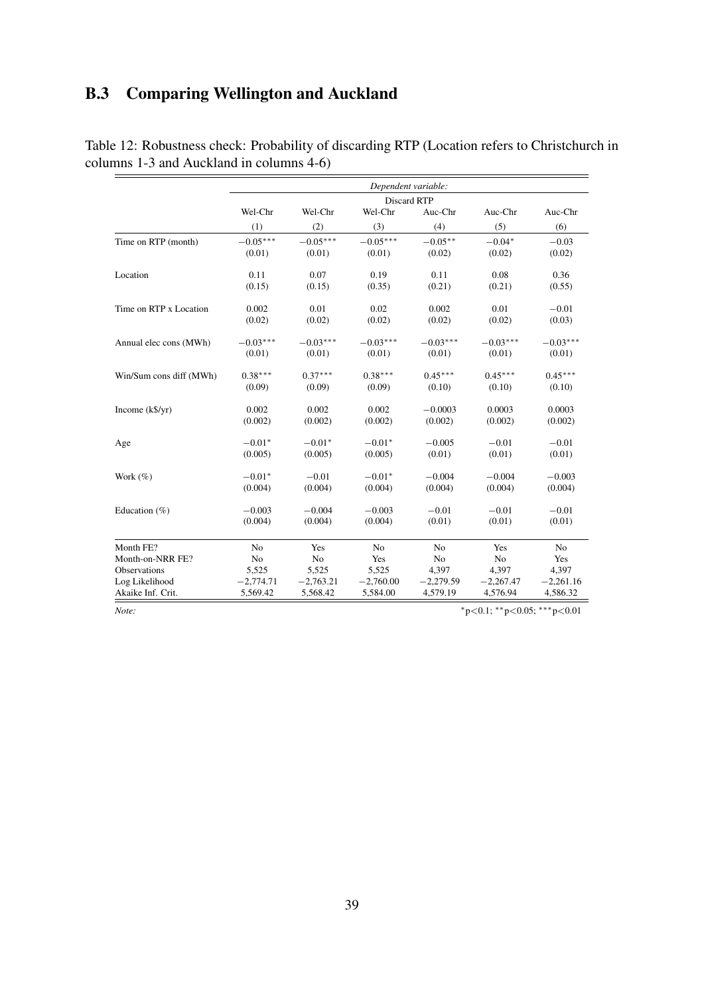## B.3 Comparing Wellington and Auckland

|                          | Dependent variable: |             |                |                |             |                |  |  |  |
|--------------------------|---------------------|-------------|----------------|----------------|-------------|----------------|--|--|--|
|                          |                     |             |                | Discard RTP    |             |                |  |  |  |
|                          | Wel-Chr             | Wel-Chr     | Wel-Chr        | Auc-Chr        | Auc-Chr     | Auc-Chr        |  |  |  |
|                          | (1)                 | (2)         | (3)            | (4)            | (5)         | (6)            |  |  |  |
| Time on RTP (month)      | $-0.05***$          | $-0.05***$  | $-0.05***$     | $-0.05***$     | $-0.04*$    | $-0.03$        |  |  |  |
|                          | (0.01)              | (0.01)      | (0.01)         | (0.02)         | (0.02)      | (0.02)         |  |  |  |
| Location                 | 0.11                | 0.07        | 0.19           | 0.11           | 0.08        | 0.36           |  |  |  |
|                          | (0.15)              | (0.15)      | (0.35)         | (0.21)         | (0.21)      | (0.55)         |  |  |  |
| Time on RTP x Location   | 0.002               | 0.01        | 0.02           | 0.002          | 0.01        | $-0.01$        |  |  |  |
|                          | (0.02)              | (0.02)      | (0.02)         | (0.02)         | (0.02)      | (0.03)         |  |  |  |
| Annual elec cons (MWh)   | $-0.03***$          | $-0.03***$  | $-0.03***$     | $-0.03***$     | $-0.03***$  | $-0.03***$     |  |  |  |
|                          | (0.01)              | (0.01)      | (0.01)         | (0.01)         | (0.01)      | (0.01)         |  |  |  |
| Win/Sum cons diff (MWh)  | $0.38***$           | $0.37***$   | $0.38***$      | $0.45***$      | $0.45***$   | $0.45***$      |  |  |  |
|                          | (0.09)              | (0.09)      | (0.09)         | (0.10)         | (0.10)      | (0.10)         |  |  |  |
| Income $(k\frac{6}{y}r)$ | 0.002               | 0.002       | 0.002          | $-0.0003$      | 0.0003      | 0.0003         |  |  |  |
|                          | (0.002)             | (0.002)     | (0.002)        | (0.002)        | (0.002)     | (0.002)        |  |  |  |
| Age                      | $-0.01*$            | $-0.01*$    | $-0.01*$       | $-0.005$       | $-0.01$     | $-0.01$        |  |  |  |
|                          | (0.005)             | (0.005)     | (0.005)        | (0.01)         | (0.01)      | (0.01)         |  |  |  |
| Work $(\% )$             | $-0.01*$            | $-0.01$     | $-0.01*$       | $-0.004$       | $-0.004$    | $-0.003$       |  |  |  |
|                          | (0.004)             | (0.004)     | (0.004)        | (0.004)        | (0.004)     | (0.004)        |  |  |  |
| Education $(\% )$        | $-0.003$            | $-0.004$    | $-0.003$       | $-0.01$        | $-0.01$     | $-0.01$        |  |  |  |
|                          | (0.004)             | (0.004)     | (0.004)        | (0.01)         | (0.01)      | (0.01)         |  |  |  |
| Month FE?                | N <sub>0</sub>      | Yes         | N <sub>o</sub> | N <sub>o</sub> | Yes         | N <sub>o</sub> |  |  |  |
| Month-on-NRR FE?         | No                  | No          | Yes            | No             | No          | Yes            |  |  |  |
| Observations             | 5,525               | 5,525       | 5,525          | 4,397          | 4,397       | 4,397          |  |  |  |
| Log Likelihood           | $-2,774.71$         | $-2,763.21$ | $-2,760.00$    | $-2,279.59$    | $-2,267.47$ | $-2,261.16$    |  |  |  |
| Akaike Inf. Crit.        | 5,569.42            | 5,568.42    | 5,584.00       | 4,579.19       | 4,576.94    | 4,586.32       |  |  |  |

Table 12: Robustness check: Probability of discarding RTP (Location refers to Christchurch in columns 1-3 and Auckland in columns 4-6)

*Note:*  $*_{p<0.1}$ ;  $*_{p<0.05}$ ;  $**_{p<0.01}$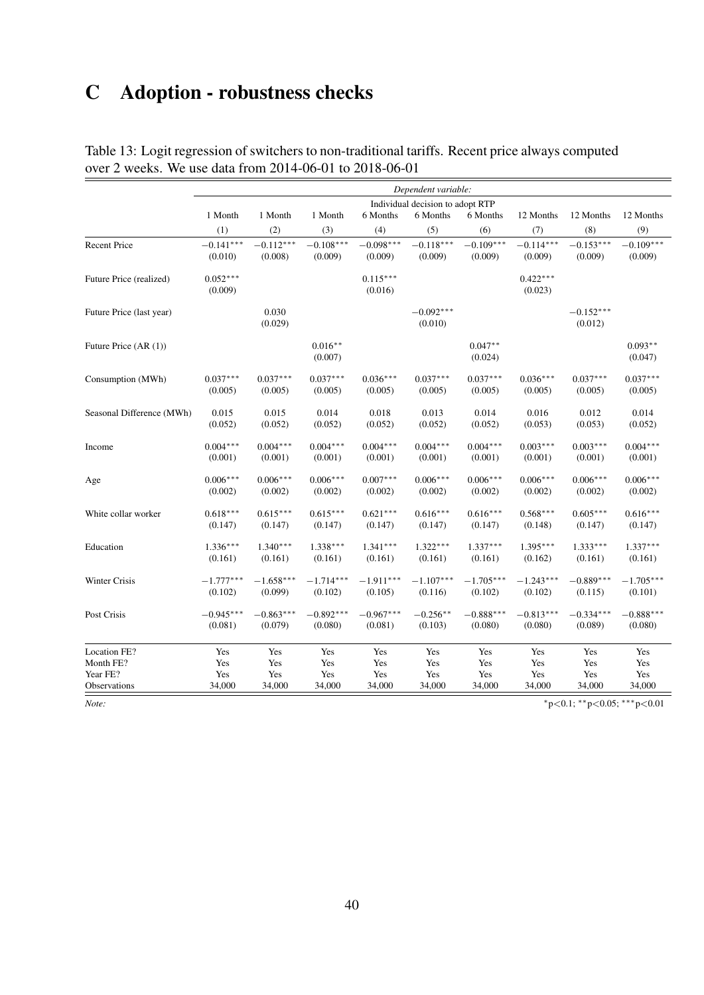# C Adoption - robustness checks

|                           | Dependent variable:              |                  |                      |                       |                        |                      |                       |                        |                      |  |  |
|---------------------------|----------------------------------|------------------|----------------------|-----------------------|------------------------|----------------------|-----------------------|------------------------|----------------------|--|--|
|                           | Individual decision to adopt RTP |                  |                      |                       |                        |                      |                       |                        |                      |  |  |
|                           | 1 Month                          | 1 Month          | 1 Month              | 6 Months              | 6 Months               | 6 Months             | 12 Months             | 12 Months              | 12 Months            |  |  |
|                           | (1)                              | (2)              | (3)                  | (4)                   | (5)                    | (6)                  | (7)                   | (8)                    | (9)                  |  |  |
| <b>Recent Price</b>       | $-0.141***$                      | $-0.112***$      | $-0.108***$          | $-0.098***$           | $-0.118***$            | $-0.109***$          | $-0.114***$           | $-0.153***$            | $-0.109***$          |  |  |
|                           | (0.010)                          | (0.008)          | (0.009)              | (0.009)               | (0.009)                | (0.009)              | (0.009)               | (0.009)                | (0.009)              |  |  |
| Future Price (realized)   | $0.052***$<br>(0.009)            |                  |                      | $0.115***$<br>(0.016) |                        |                      | $0.422***$<br>(0.023) |                        |                      |  |  |
| Future Price (last year)  |                                  | 0.030<br>(0.029) |                      |                       | $-0.092***$<br>(0.010) |                      |                       | $-0.152***$<br>(0.012) |                      |  |  |
| Future Price (AR (1))     |                                  |                  | $0.016**$<br>(0.007) |                       |                        | $0.047**$<br>(0.024) |                       |                        | $0.093**$<br>(0.047) |  |  |
| Consumption (MWh)         | $0.037***$                       | $0.037***$       | $0.037***$           | $0.036***$            | $0.037***$             | $0.037***$           | $0.036***$            | $0.037***$             | $0.037***$           |  |  |
|                           | (0.005)                          | (0.005)          | (0.005)              | (0.005)               | (0.005)                | (0.005)              | (0.005)               | (0.005)                | (0.005)              |  |  |
| Seasonal Difference (MWh) | 0.015                            | 0.015            | 0.014                | 0.018                 | 0.013                  | 0.014                | 0.016                 | 0.012                  | 0.014                |  |  |
|                           | (0.052)                          | (0.052)          | (0.052)              | (0.052)               | (0.052)                | (0.052)              | (0.053)               | (0.053)                | (0.052)              |  |  |
| Income                    | $0.004***$                       | $0.004***$       | $0.004***$           | $0.004***$            | $0.004***$             | $0.004***$           | $0.003***$            | $0.003***$             | $0.004***$           |  |  |
|                           | (0.001)                          | (0.001)          | (0.001)              | (0.001)               | (0.001)                | (0.001)              | (0.001)               | (0.001)                | (0.001)              |  |  |
| Age                       | $0.006***$                       | $0.006***$       | $0.006***$           | $0.007***$            | $0.006***$             | $0.006***$           | $0.006***$            | $0.006***$             | $0.006***$           |  |  |
|                           | (0.002)                          | (0.002)          | (0.002)              | (0.002)               | (0.002)                | (0.002)              | (0.002)               | (0.002)                | (0.002)              |  |  |
| White collar worker       | $0.618***$                       | $0.615***$       | $0.615***$           | $0.621***$            | $0.616***$             | $0.616***$           | $0.568***$            | $0.605***$             | $0.616***$           |  |  |
|                           | (0.147)                          | (0.147)          | (0.147)              | (0.147)               | (0.147)                | (0.147)              | (0.148)               | (0.147)                | (0.147)              |  |  |
| Education                 | $1.336***$                       | $1.340***$       | $1.338***$           | $1.341***$            | $1.322***$             | $1.337***$           | $1.395***$            | $1.333***$             | $1.337***$           |  |  |
|                           | (0.161)                          | (0.161)          | (0.161)              | (0.161)               | (0.161)                | (0.161)              | (0.162)               | (0.161)                | (0.161)              |  |  |
| Winter Crisis             | $-1.777***$                      | $-1.658***$      | $-1.714***$          | $-1.911***$           | $-1.107***$            | $-1.705***$          | $-1.243***$           | $-0.889***$            | $-1.705***$          |  |  |
|                           | (0.102)                          | (0.099)          | (0.102)              | (0.105)               | (0.116)                | (0.102)              | (0.102)               | (0.115)                | (0.101)              |  |  |
| Post Crisis               | $-0.945***$                      | $-0.863***$      | $-0.892***$          | $-0.967***$           | $-0.256**$             | $-0.888***$          | $-0.813***$           | $-0.334***$            | $-0.888***$          |  |  |
|                           | (0.081)                          | (0.079)          | (0.080)              | (0.081)               | (0.103)                | (0.080)              | (0.080)               | (0.089)                | (0.080)              |  |  |
| Location FE?              | Yes                              | Yes              | Yes                  | Yes                   | Yes                    | Yes                  | Yes                   | Yes                    | Yes                  |  |  |
| Month FE?                 | Yes                              | Yes              | Yes                  | Yes                   | Yes                    | Yes                  | Yes                   | Yes                    | Yes                  |  |  |
| Year FE?                  | Yes                              | Yes              | Yes                  | Yes                   | Yes                    | Yes                  | Yes                   | Yes                    | Yes                  |  |  |
| Observations              | 34,000                           | 34,000           | 34,000               | 34,000                | 34,000                 | 34,000               | 34,000                | 34,000                 | 34,000               |  |  |
| Note:                     | *p<0.1; **p<0.05; ***p<0.01      |                  |                      |                       |                        |                      |                       |                        |                      |  |  |

Table 13: Logit regression of switchers to non-traditional tariffs. Recent price always computed over 2 weeks. We use data from 2014-06-01 to 2018-06-01